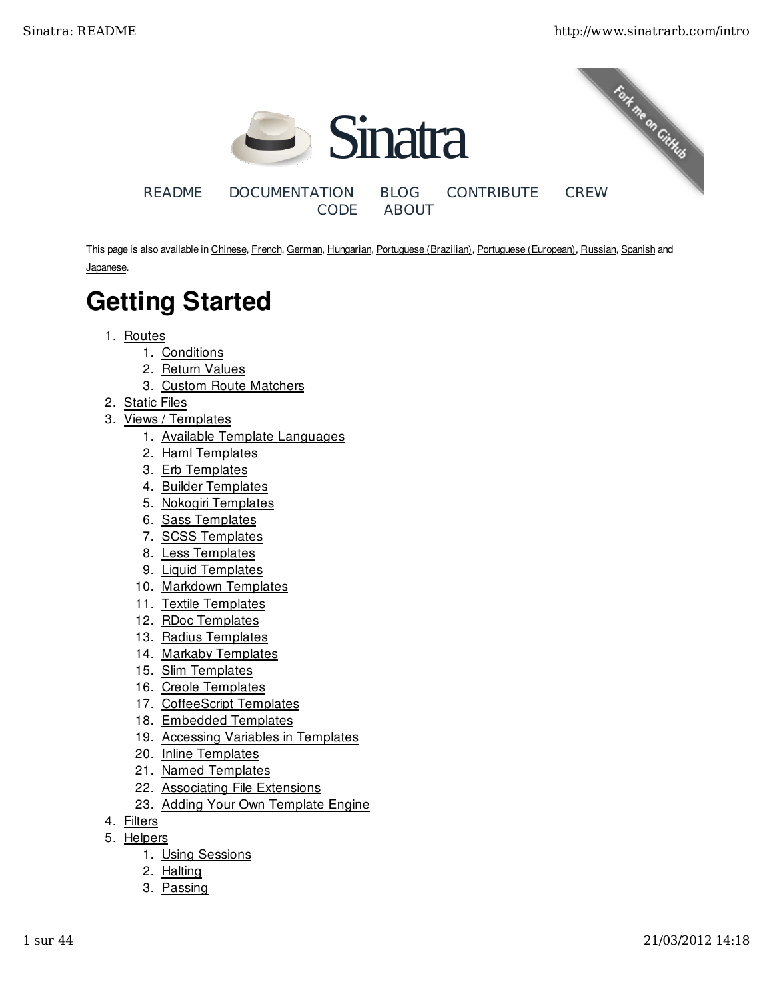

This page is also available in Chinese, French, German, Hungarian, Portuguese (Brazilian), Portuguese (European), Russian, Spanish and Japanese.

# Getting Started

- 1. Routes
	- 1. Conditions
	- 2. Return Values
	- 3. Custom Route Matchers
- 2. Static Files
- 3. Views / Templates
	- 1. Available Template Languages
	- 2. Haml Templates
	- 3. Erb Templates
	- 4. Builder Templates
	- 5. Nokogiri Templates
	- 6. Sass Templates
	- 7. SCSS Templates
	- 8. Less Templates
	- 9. Liquid Templates
	- 10. Markdown Templates
	- 11. Textile Templates
	- 12. RDoc Templates
	- 13. Radius Templates
	- 14. Markaby Templates
	- 15. Slim Templates
	- 16. Creole Templates
	- 17. CoffeeScript Templates
	- 18. Embedded Templates
	- 19. Accessing Variables in Templates
	- 20. Inline Templates
	- 21. Named Templates
	- 22. Associating File Extensions
	- 23. Adding Your Own Template Engine
- 4. Filters
- 5. Helpers
	- 1. Using Sessions
	- 2. Halting
	- 3. Passing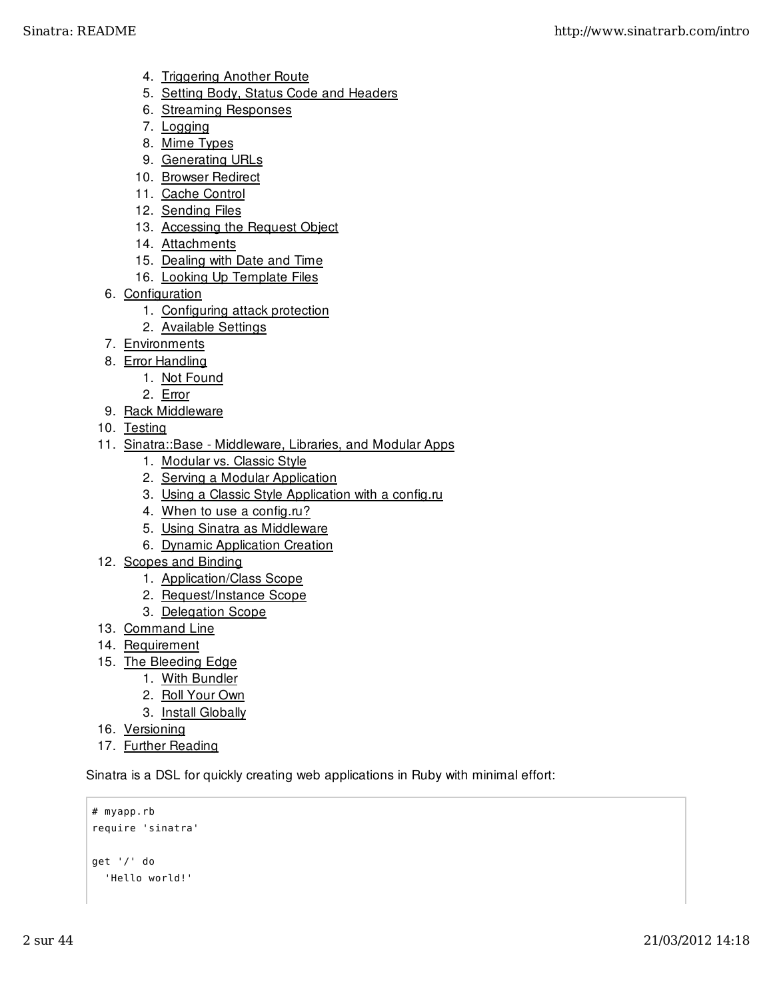- 4. Triggering Another Route
- 5. Setting Body, Status Code and Headers
- 6. Streaming Responses
- 7. Logging
- 8. Mime Types
- 9. Generating URLs
- 10. Browser Redirect
- 11. Cache Control
- 12. Sending Files
- 13. Accessing the Request Object
- 14. Attachments
- 15. Dealing with Date and Time
- 16. Looking Up Template Files
- 6. Configuration
	- 1. Configuring attack protection
	- 2. Available Settings
- 7. Environments
- 8. Error Handling
	- 1. Not Found
	- 2. Error
- 9. Rack Middleware
- 10. Testing
- 11. Sinatra::Base Middleware, Libraries, and Modular Apps
	- 1. Modular vs. Classic Style
	- 2. Serving a Modular Application
	- 3. Using a Classic Style Application with a config.ru
	- 4. When to use a config.ru?
	- 5. Using Sinatra as Middleware
	- 6. Dynamic Application Creation
- 12. Scopes and Binding
	- 1. Application/Class Scope
	- 2. Request/Instance Scope
	- 3. Delegation Scope
- 13. Command Line
- 14. Requirement
- 15. The Bleeding Edge
	- 1. With Bundler
	- 2. Roll Your Own
	- 3. Install Globally
- 16. Versioning
- 17. Further Reading

Sinatra is a DSL for quickly creating web applications in Ruby with minimal effort:

```
# myapp.rb
require 'sinatra'
get '/' do
   'Hello world!'
```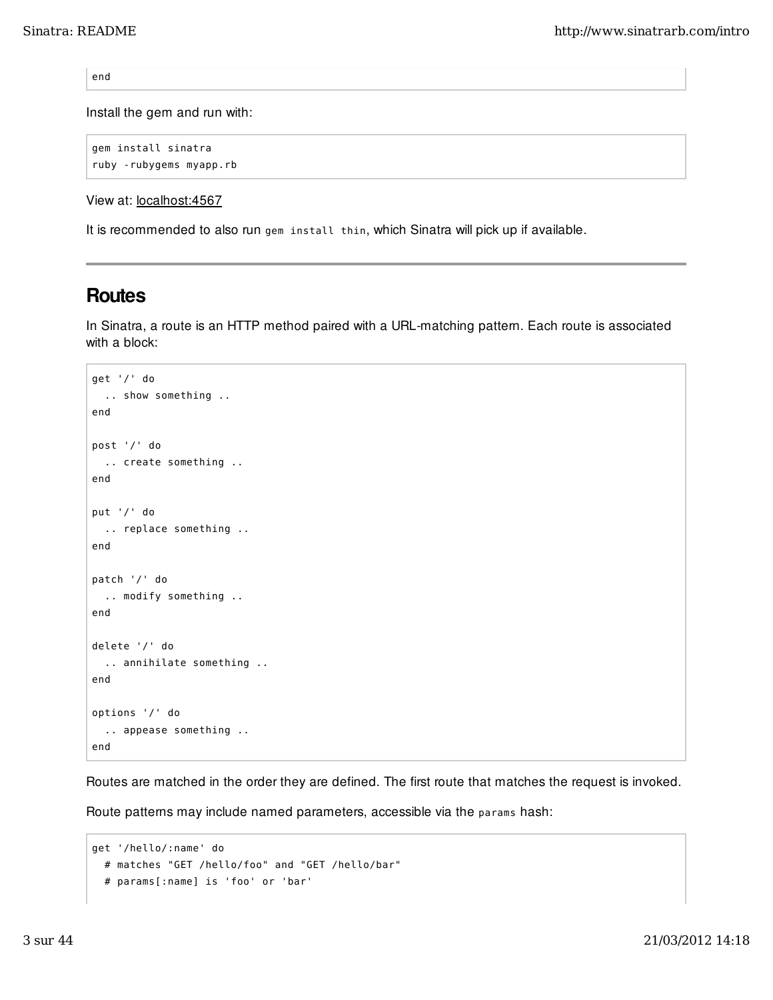end

Install the gem and run with:

```
gem install sinatra
ruby -rubygems myapp.rb
```
View at: localhost:4567

It is recommended to also run gem install thin, which Sinatra will pick up if available.

## Routes

In Sinatra, a route is an HTTP method paired with a URL-matching pattern. Each route is associated with a block:

```
get '/' do
   .. show something ..
end
post '/' do
  .. create something ..
end
put '/' do
  .. replace something ..
end
patch '/' do
  .. modify something ..
end
delete '/' do
   .. annihilate something ..
end
options '/' do
   .. appease something ..
end
```
Routes are matched in the order they are defined. The first route that matches the request is invoked.

Route patterns may include named parameters, accessible via the params hash:

```
get '/hello/:name' do
  # matches "GET /hello/foo" and "GET /hello/bar"
   # params[:name] is 'foo' or 'bar'
```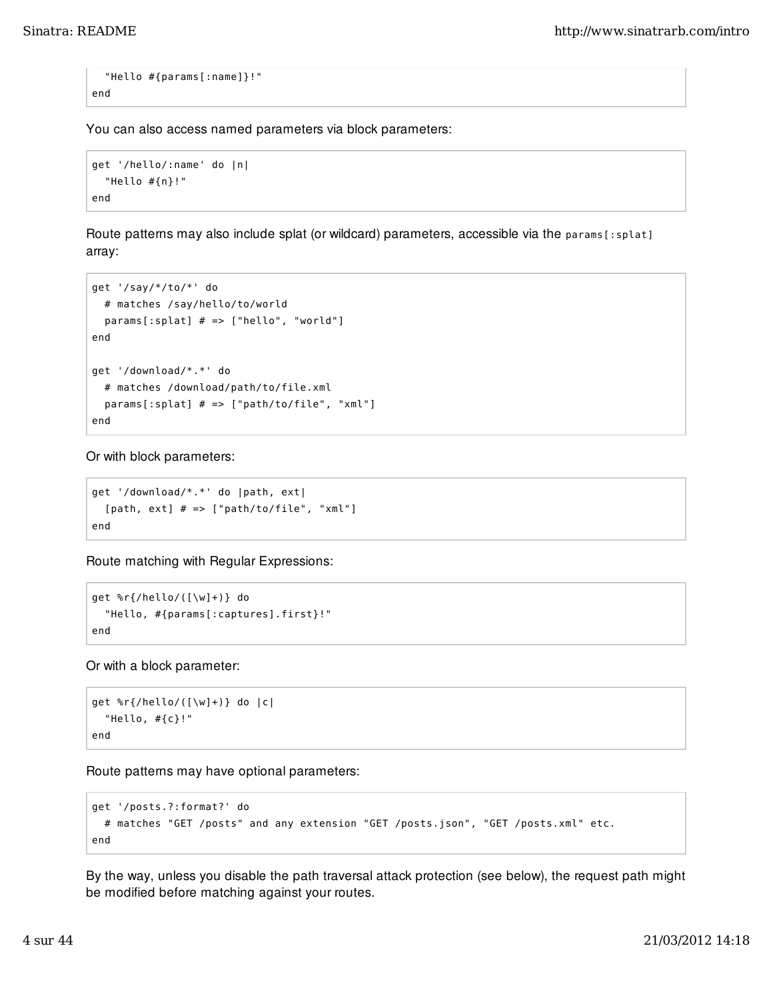```
 "Hello #{params[:name]}!"
end
```
You can also access named parameters via block parameters:

```
get '/hello/:name' do |n|
   "Hello #{n}!"
end
```
Route patterns may also include splat (or wildcard) parameters, accessible via the params[:splat] array:

```
get '/say/*/to/*' do
   # matches /say/hello/to/world
   params[:splat] # => ["hello", "world"]
end
get '/download/*.*' do
   # matches /download/path/to/file.xml
   params[:splat] # => ["path/to/file", "xml"]
end
```
Or with block parameters:

```
get '/download/*.*' do |path, ext|
  [path, ext] # == ["path/to/file", "xml"]
end
```
Route matching with Regular Expressions:

```
get %r{/hello/([\w]+)} do
   "Hello, #{params[:captures].first}!"
end
```
Or with a block parameter:

```
get %r{/hello/([\w]+)} do |c|
   "Hello, #{c}!"
end
```
Route patterns may have optional parameters:

```
get '/posts.?:format?' do
  # matches "GET /posts" and any extension "GET /posts.json", "GET /posts.xml" etc.
end
```
By the way, unless you disable the path traversal attack protection (see below), the request path might be modified before matching against your routes.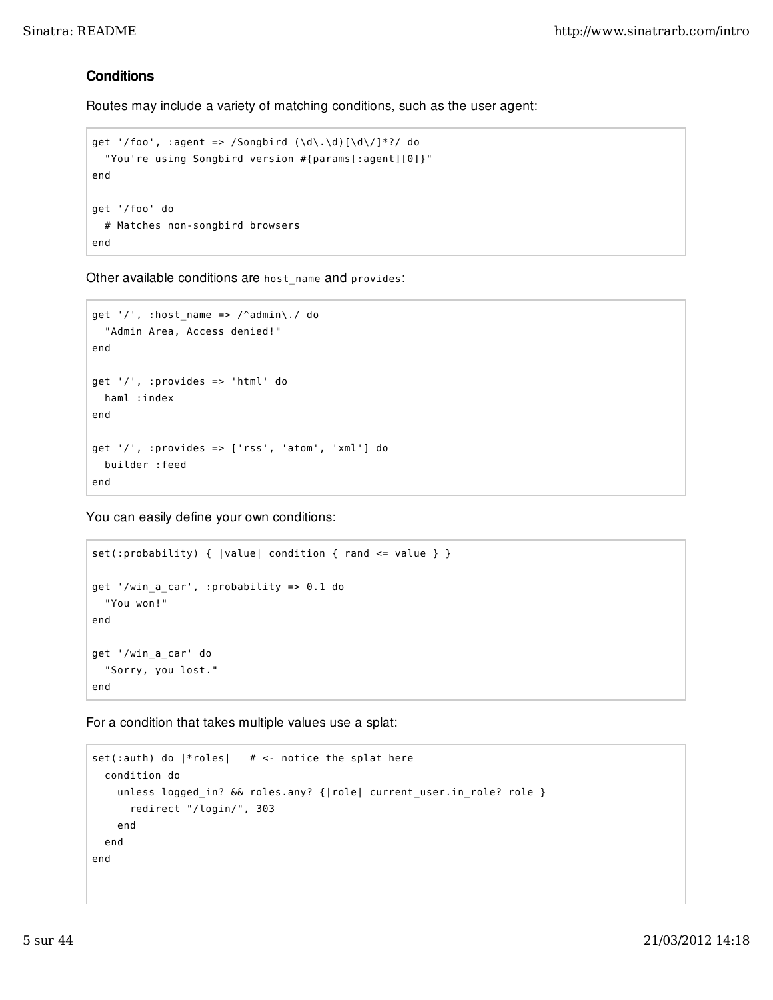## **Conditions**

Routes may include a variety of matching conditions, such as the user agent:

```
get '/foo', :agent => /Songbird (\dagger d\cdot\ldots\cdot d)(d\cdot)^*?/ do
   "You're using Songbird version #{params[:agent][0]}"
end
get '/foo' do
   # Matches non-songbird browsers
end
```
Other available conditions are host\_name and provides:

```
get '/, :host_name => /^admin\./ do
   "Admin Area, Access denied!"
end
get '/', :provides => 'html' do
  haml :index
end
get '/', :provides => ['rss', 'atom', 'xml'] do
   builder :feed
end
```
You can easily define your own conditions:

```
set(:probability) { |value| condition { rand <= value } }
get '/win_a_car', :probability => 0.1 do
   "You won!"
end
get '/win_a_car' do
   "Sorry, you lost."
end
```
For a condition that takes multiple values use a splat:

```
set(:auth) do |*roles| # <- notice the splat here
  condition do
     unless logged_in? && roles.any? {|role| current_user.in_role? role }
       redirect "/login/", 303 
     end
   end
end
```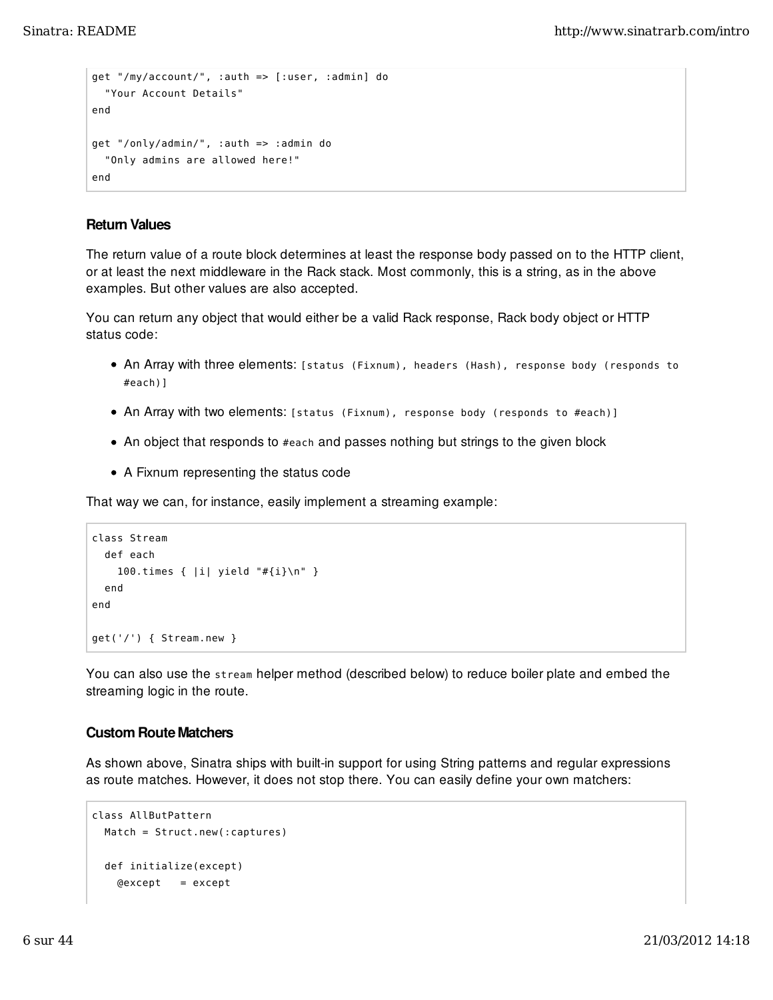```
get "/my/account/", :auth => [:user, :admin] do
   "Your Account Details"
end
get "/only/admin/", :auth => :admin do
   "Only admins are allowed here!"
end
```
## Return Values

The return value of a route block determines at least the response body passed on to the HTTP client, or at least the next middleware in the Rack stack. Most commonly, this is a string, as in the above examples. But other values are also accepted.

You can return any object that would either be a valid Rack response, Rack body object or HTTP status code:

- An Array with three elements: [status (Fixnum), headers (Hash), response body (responds to #each)]
- An Array with two elements: [status (Fixnum), response body (responds to #each)]
- An object that responds to #each and passes nothing but strings to the given block
- A Fixnum representing the status code

That way we can, for instance, easily implement a streaming example:

```
class Stream
   def each
     100.times { |i| yield "#{i}\n" }
   end
end
get('/') { Stream.new }
```
You can also use the stream helper method (described below) to reduce boiler plate and embed the streaming logic in the route.

#### Custom Route Matchers

As shown above, Sinatra ships with built-in support for using String patterns and regular expressions as route matches. However, it does not stop there. You can easily define your own matchers:

```
class AllButPattern
   Match = Struct.new(:captures)
   def initialize(except)
     @except = except
```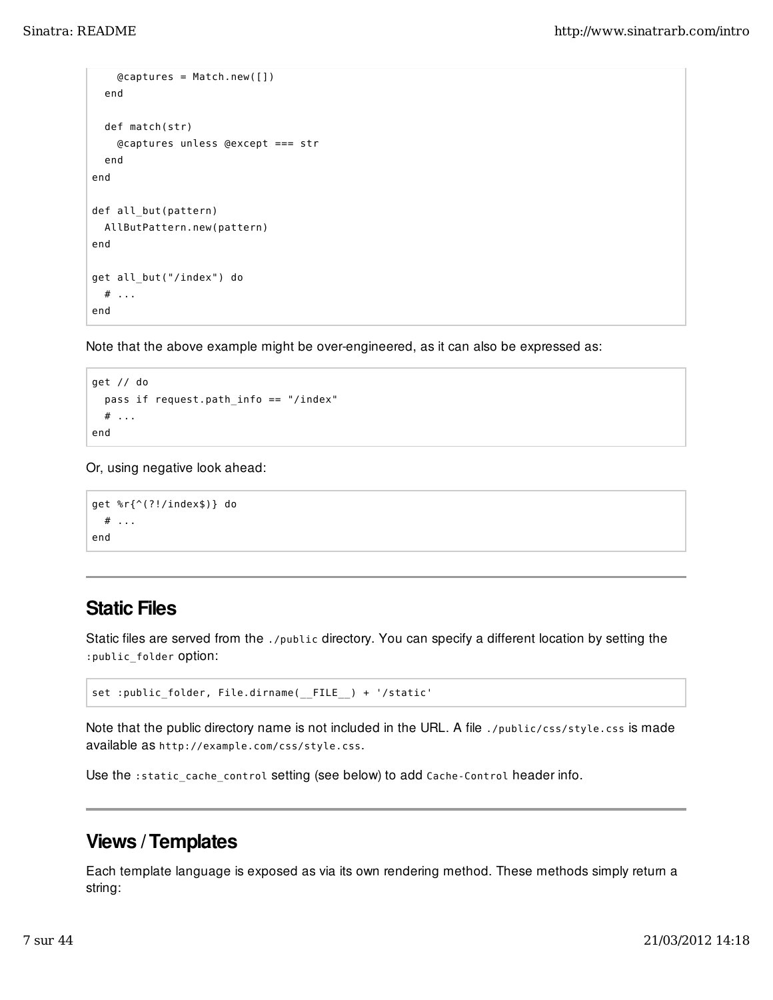```
 @captures = Match.new([])
   end
   def match(str)
     @captures unless @except === str
   end
end
def all_but(pattern)
   AllButPattern.new(pattern)
end
get all_but("/index") do
  # . . .
end
```
Note that the above example might be over-engineered, as it can also be expressed as:

```
get // do
   pass if request.path_info == "/index"
  # \dotsend
```
Or, using negative look ahead:

```
get %r{^(?!/index$)} do
  # \dotsend
```
## Static Files

Static files are served from the ./public directory. You can specify a different location by setting the :public\_folder option:

```
set :public_folder, File.dirname(__FILE__) + '/static'
```
Note that the public directory name is not included in the URL. A file ./public/css/style.css is made available as http://example.com/css/style.css.

Use the :static\_cache\_control setting (see below) to add Cache-Control header info.

## Views / Templates

Each template language is exposed as via its own rendering method. These methods simply return a string: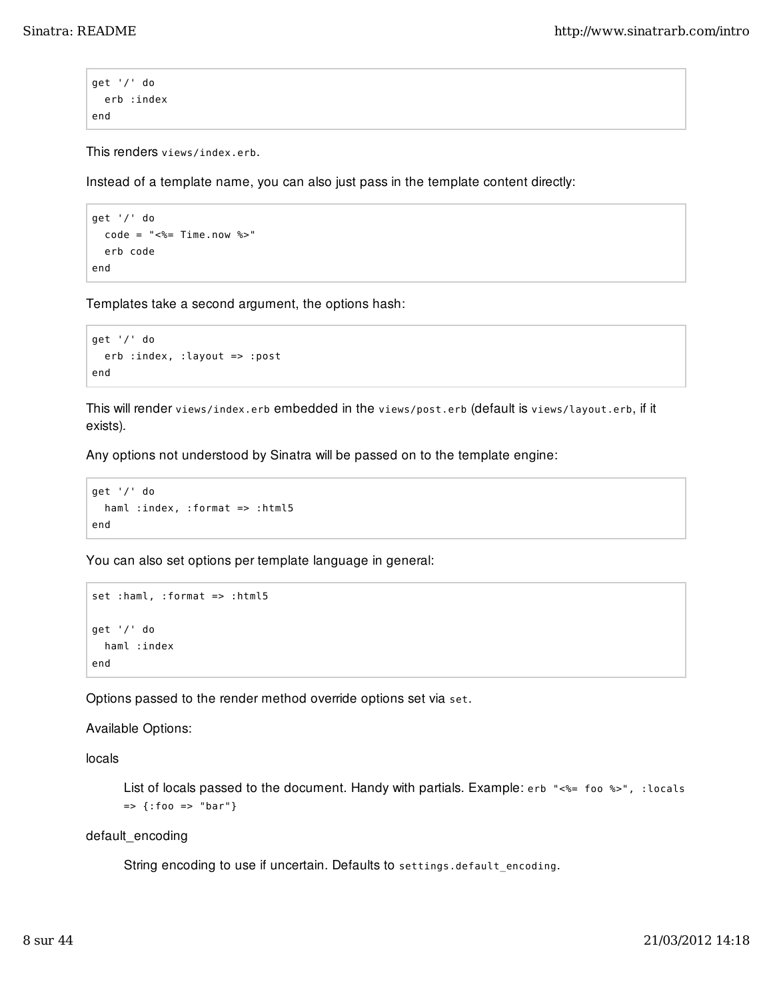```
get '/' do
   erb :index
end
```
This renders views/index.erb.

Instead of a template name, you can also just pass in the template content directly:

```
get '/' do
  code = "<~ = Time.now %>"
   erb code
end
```
Templates take a second argument, the options hash:

```
get '/' do
   erb :index, :layout => :post
end
```
This will render views/index.erb embedded in the views/post.erb (default is views/layout.erb, if it exists).

Any options not understood by Sinatra will be passed on to the template engine:

```
get '/' do
  haml :index, :format => :html5
end
```
You can also set options per template language in general:

```
set :haml, :format => :html5
get '/' do
   haml :index
end
```
Options passed to the render method override options set via set.

Available Options:

locals

List of locals passed to the document. Handy with partials. Example: erb "<%= foo %>", : locals => {:foo => "bar"}

default\_encoding

String encoding to use if uncertain. Defaults to settings.default encoding.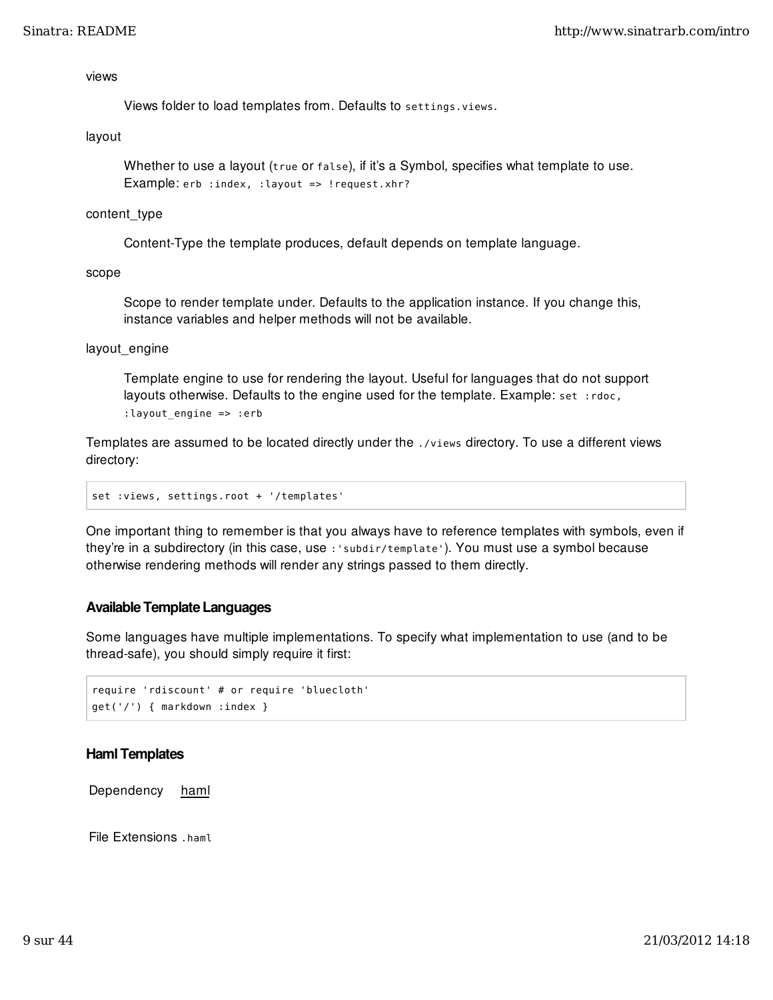#### views

Views folder to load templates from. Defaults to settings.views.

#### layout

Whether to use a layout (true or false), if it's a Symbol, specifies what template to use. Example: erb : index, : layout => ! request. xhr?

#### content\_type

Content-Type the template produces, default depends on template language.

scope

Scope to render template under. Defaults to the application instance. If you change this, instance variables and helper methods will not be available.

#### layout engine

Template engine to use for rendering the layout. Useful for languages that do not support layouts otherwise. Defaults to the engine used for the template. Example: set :rdoc, :layout\_engine => :erb

Templates are assumed to be located directly under the . /views directory. To use a different views directory:

set :views, settings.root + '/templates'

One important thing to remember is that you always have to reference templates with symbols, even if they're in a subdirectory (in this case, use :'subdir/template'). You must use a symbol because otherwise rendering methods will render any strings passed to them directly.

### Available Template Languages

Some languages have multiple implementations. To specify what implementation to use (and to be thread-safe), you should simply require it first:

```
require 'rdiscount' # or require 'bluecloth'
get('/') { markdown :index }
```
### Haml Templates

Dependency haml

File Extensions .haml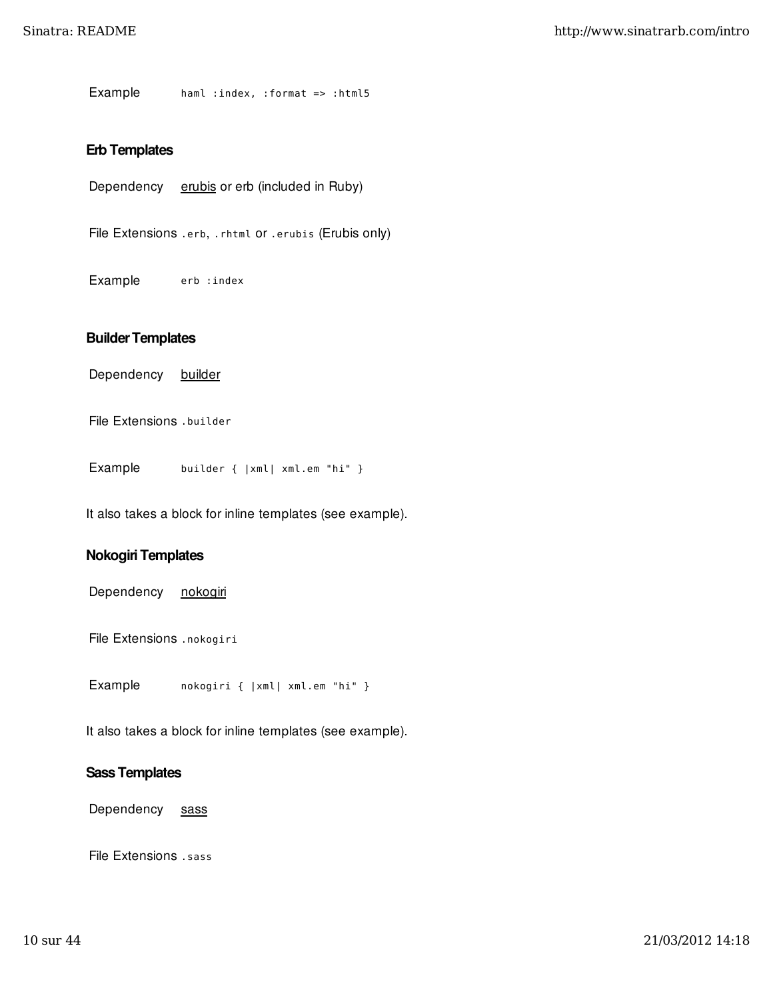Example haml :index, :format => :html5

### Erb Templates

Dependency erubis or erb (included in Ruby)

File Extensions .erb, .rhtml or .erubis (Erubis only)

Example erb : index

#### Builder Templates

Dependency builder

File Extensions .builder

Example builder { | xml | xml.em "hi" }

It also takes a block for inline templates (see example).

## Nokogiri Templates

Dependency nokogiri

File Extensions .nokogiri

Example nokogiri {  $|xm|$  xml.em "hi" }

It also takes a block for inline templates (see example).

#### Sass Templates

Dependency sass

File Extensions .sass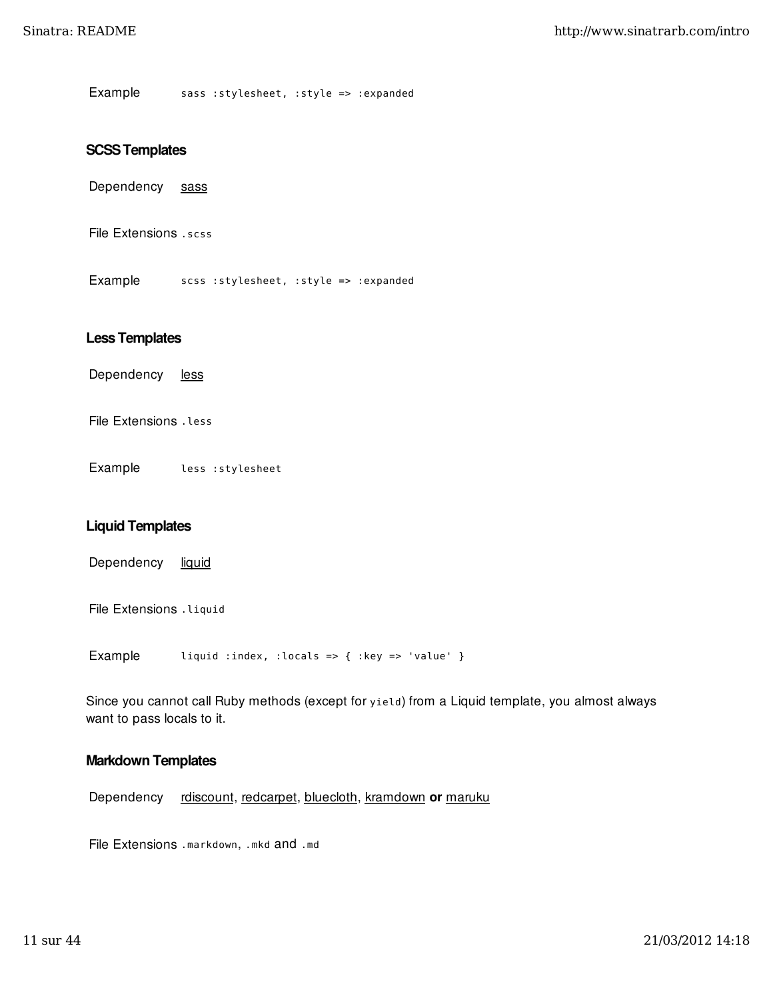Example sass : stylesheet, : style => : expanded

#### SCSS Templates

Dependency sass

File Extensions .scss

Example scss : stylesheet, : style => : expanded

#### Less Templates

Dependency less

File Extensions .less

Example less :stylesheet

#### Liquid Templates

Dependency liquid

File Extensions . Liquid

Example liquid :index, :locals => { :key => 'value' }

Since you cannot call Ruby methods (except for yield) from a Liquid template, you almost always want to pass locals to it.

#### Markdown Templates

Dependency rdiscount, redcarpet, bluecloth, kramdown or maruku

File Extensions .markdown, .mkd and .md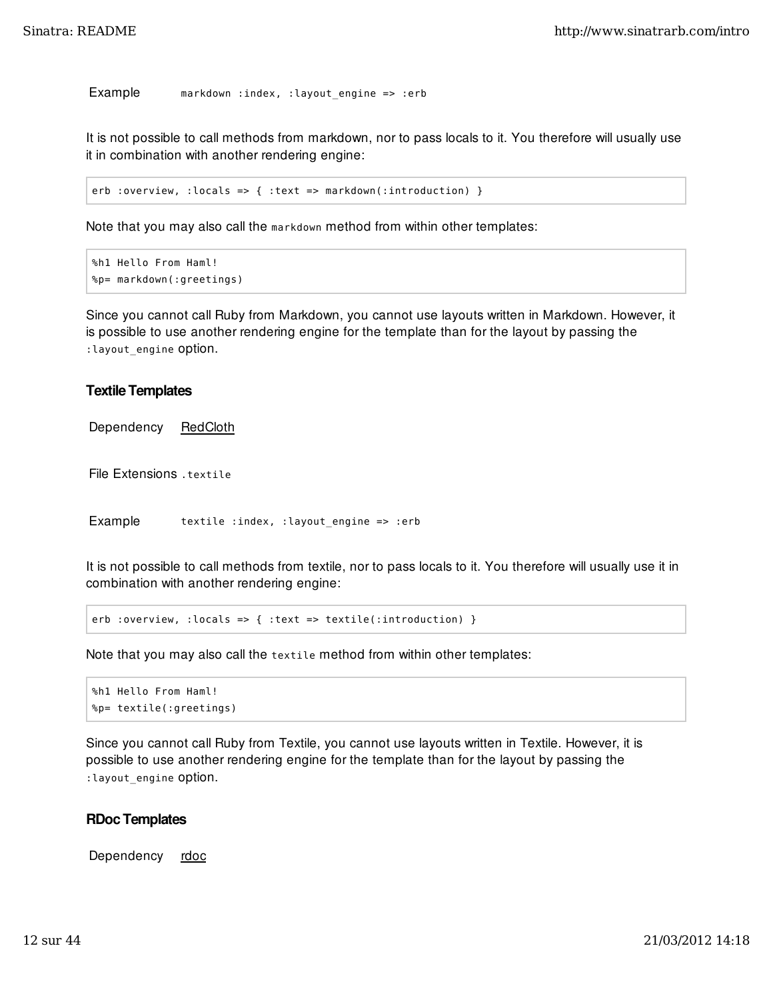Example markdown : index, : layout\_engine => : erb

It is not possible to call methods from markdown, nor to pass locals to it. You therefore will usually use it in combination with another rendering engine:

erb :overview, :locals => { :text => markdown(:introduction) }

Note that you may also call the markdown method from within other templates:

```
%h1 Hello From Haml!
%p= markdown(:greetings)
```
Since you cannot call Ruby from Markdown, you cannot use layouts written in Markdown. However, it is possible to use another rendering engine for the template than for the layout by passing the : layout engine Option.

#### Textile Templates

Dependency RedCloth

File Extensions .textile

Example textile : index, : layout\_engine => : erb

It is not possible to call methods from textile, nor to pass locals to it. You therefore will usually use it in combination with another rendering engine:

erb :overview, :locals => { :text => textile(:introduction) }

Note that you may also call the textile method from within other templates:

```
%h1 Hello From Haml!
%p= textile(:greetings)
```
Since you cannot call Ruby from Textile, you cannot use layouts written in Textile. However, it is possible to use another rendering engine for the template than for the layout by passing the :layout\_engine option.

#### RDoc Templates

Dependency rdoc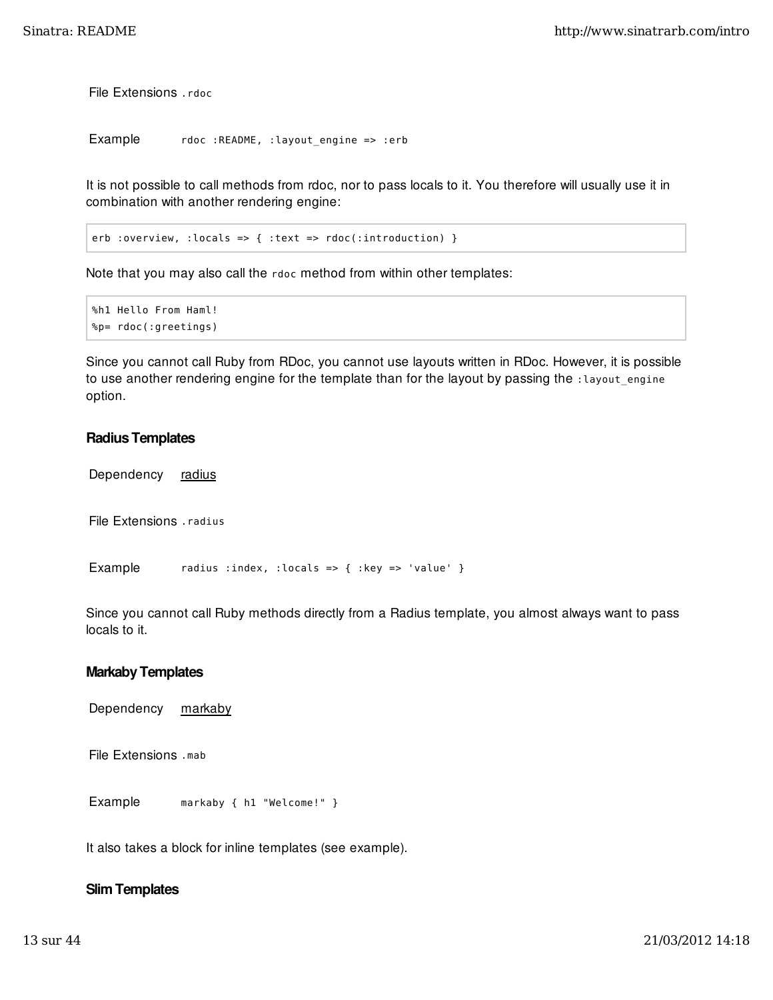File Extensions .rdoc

```
Example rdoc :README, :layout_engine => :erb
```
It is not possible to call methods from rdoc, nor to pass locals to it. You therefore will usually use it in combination with another rendering engine:

erb :overview, :locals => { :text =>  $rdoc$ (:introduction) }

Note that you may also call the rdoc method from within other templates:

```
%h1 Hello From Haml!
%p= rdoc(:greetings)
```
Since you cannot call Ruby from RDoc, you cannot use layouts written in RDoc. However, it is possible to use another rendering engine for the template than for the layout by passing the : layout\_engine option.

### Radius Templates

Dependency radius

File Extensions .radius

Example radius :index, :locals => { :key => 'value' }

Since you cannot call Ruby methods directly from a Radius template, you almost always want to pass locals to it.

#### Markaby Templates

Dependency markaby

File Extensions .mab

Example markaby { h1 "Welcome!" }

It also takes a block for inline templates (see example).

### Slim Templates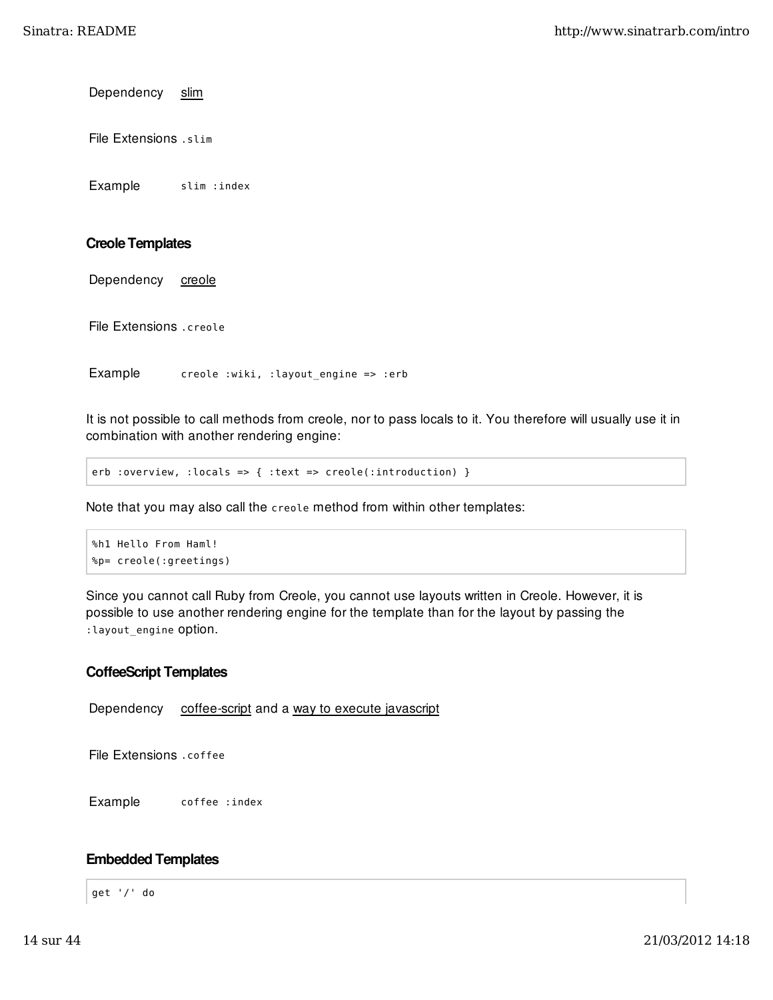Dependency slim

File Extensions .slim

Example slim : index

### Creole Templates

Dependency creole

File Extensions .creole

Example creole :wiki, :layout\_engine => :erb

It is not possible to call methods from creole, nor to pass locals to it. You therefore will usually use it in combination with another rendering engine:

erb :overview, :locals => { :text => creole(:introduction) }

Note that you may also call the creole method from within other templates:

```
%h1 Hello From Haml!
%p= creole(:greetings)
```
Since you cannot call Ruby from Creole, you cannot use layouts written in Creole. However, it is possible to use another rendering engine for the template than for the layout by passing the : layout engine Option.

### CoffeeScript Templates

Dependency coffee-script and a way to execute javascript

File Extensions .coffee

Example coffee : index

### Embedded Templates

get '/' do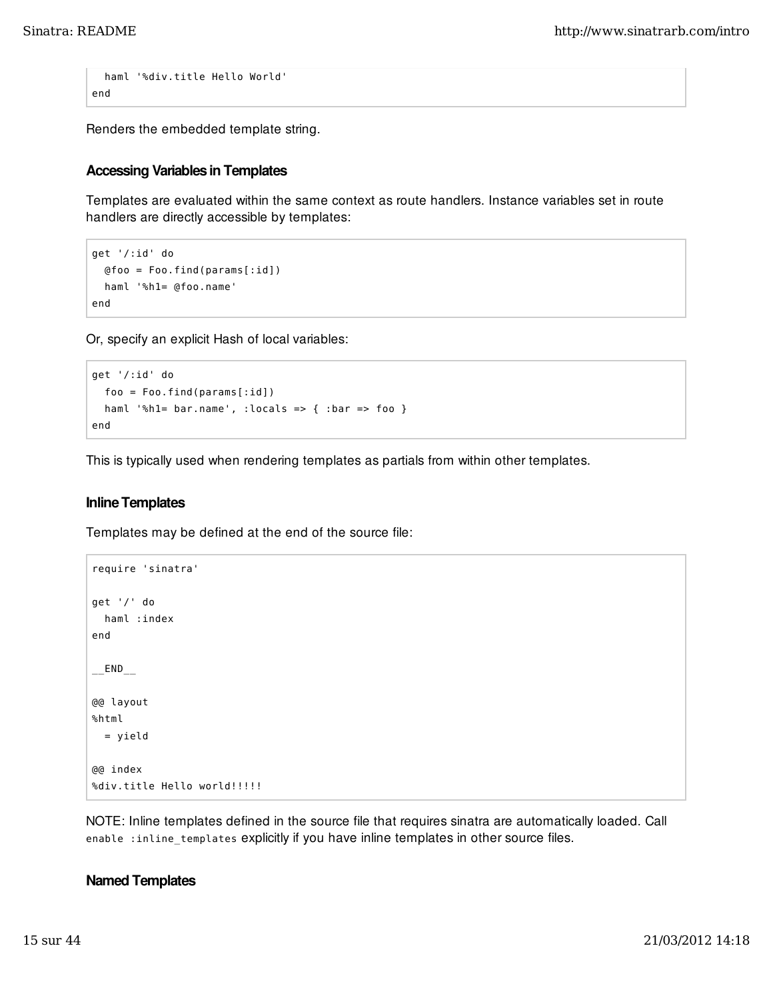```
 haml '%div.title Hello World'
end
```
Renders the embedded template string.

### Accessing Variables in Templates

Templates are evaluated within the same context as route handlers. Instance variables set in route handlers are directly accessible by templates:

```
get '/:id' do
   @foo = Foo.find(params[:id])
   haml '%h1= @foo.name'
end
```
Or, specify an explicit Hash of local variables:

```
get '/:id' do
   foo = Foo.find(params[:id])
   haml '%h1= bar.name', :locals => { :bar => foo }
end
```
This is typically used when rendering templates as partials from within other templates.

#### Inline Templates

Templates may be defined at the end of the source file:

```
require 'sinatra'
get '/' do
   haml :index
end
-END-@@ layout
%html
   = yield
@@ index
%div.title Hello world!!!!!!
```
NOTE: Inline templates defined in the source file that requires sinatra are automatically loaded. Call enable :inline\_templates explicitly if you have inline templates in other source files.

#### Named Templates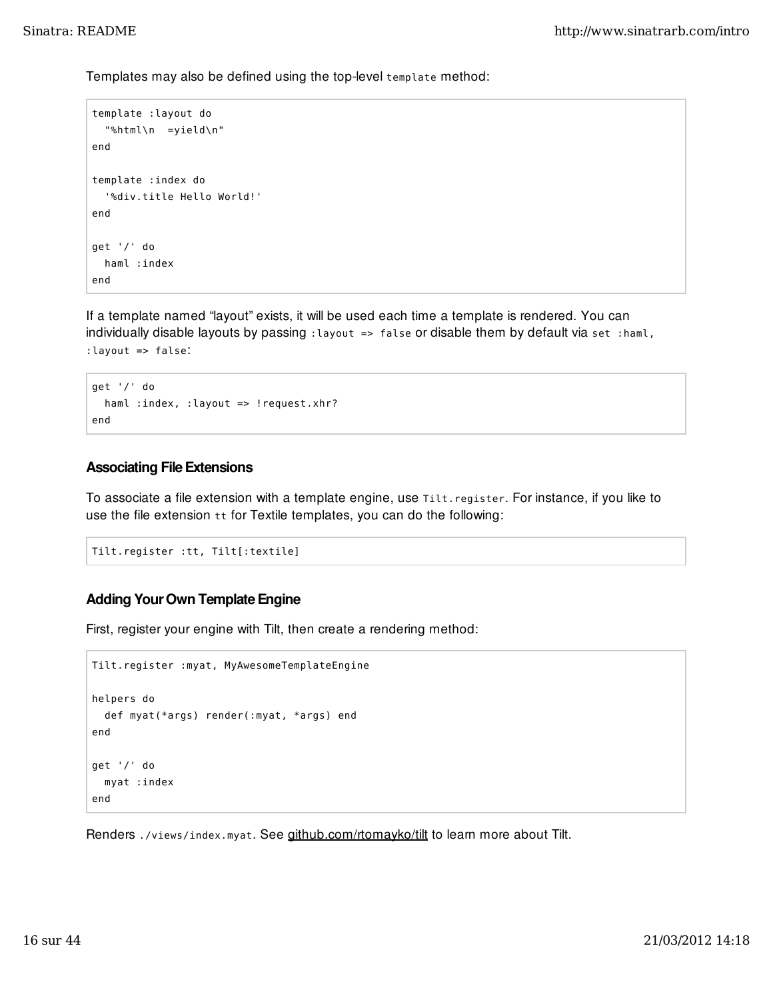Templates may also be defined using the top-level template method:

```
template :layout do
   "%html\n =yield\n"
end
template :index do
   '%div.title Hello World!'
end
get '/' do
   haml :index
end
```
If a template named "layout" exists, it will be used each time a template is rendered. You can individually disable layouts by passing : layout => false or disable them by default via set : haml, :layout => false:

```
get '/' do
  haml :index, :layout => !request.xhr?
end
```
#### Associating File Extensions

To associate a file extension with a template engine, use Tilt.register. For instance, if you like to use the file extension tt for Textile templates, you can do the following:

```
Tilt.register :tt, Tilt[:textile]
```
## Adding Your Own Template Engine

First, register your engine with Tilt, then create a rendering method:

```
Tilt.register :myat, MyAwesomeTemplateEngine
helpers do
   def myat(*args) render(:myat, *args) end
end
get '/' do
   myat :index
end
```
Renders ./views/index.myat. See github.com/rtomayko/tilt to learn more about Tilt.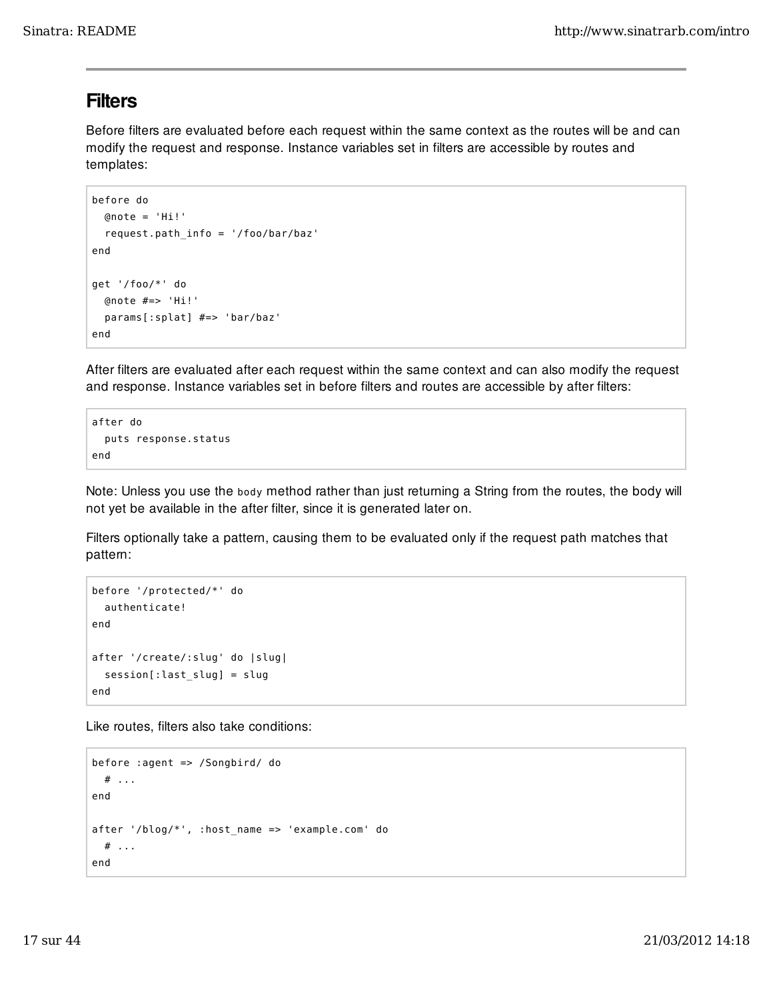## **Filters**

Before filters are evaluated before each request within the same context as the routes will be and can modify the request and response. Instance variables set in filters are accessible by routes and templates:

```
before do
  @note = 'Hi' request.path_info = '/foo/bar/baz'
end
get '/foo/*' do
   @note #=> 'Hi!'
   params[:splat] #=> 'bar/baz'
end
```
After filters are evaluated after each request within the same context and can also modify the request and response. Instance variables set in before filters and routes are accessible by after filters:

```
after do
   puts response.status
end
```
Note: Unless you use the body method rather than just returning a String from the routes, the body will not yet be available in the after filter, since it is generated later on.

Filters optionally take a pattern, causing them to be evaluated only if the request path matches that pattern:

```
before '/protected/*' do
   authenticate!
end
after '/create/:slug' do |slug|
   session[:last_slug] = slug
end
```
Like routes, filters also take conditions:

```
before :agent => /Songbird/ do
   # ...
end
after '/blog/*', :host_name => 'example.com' do
   # ...
end
```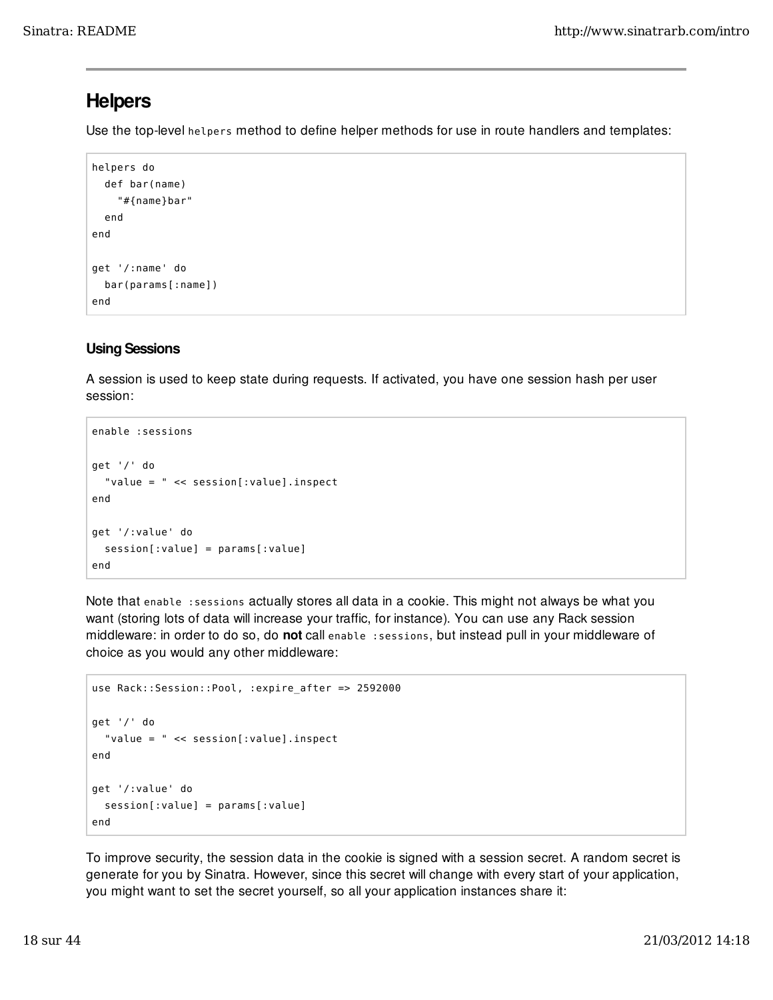## **Helpers**

Use the top-level helpers method to define helper methods for use in route handlers and templates:

```
helpers do
   def bar(name)
     "#{name}bar"
   end
end
get '/:name' do
   bar(params[:name])
end
```
## Using Sessions

A session is used to keep state during requests. If activated, you have one session hash per user session:

```
enable :sessions
get '/' do
   "value = " << session[:value].inspect
end
get '/:value' do
   session[:value] = params[:value]
end
```
Note that enable :sessions actually stores all data in a cookie. This might not always be what you want (storing lots of data will increase your traffic, for instance). You can use any Rack session middleware: in order to do so, do not call enable : sessions, but instead pull in your middleware of choice as you would any other middleware:

```
use Rack::Session::Pool, :expire_after => 2592000
get '/' do
   "value = " << session[:value].inspect
end
get '/:value' do
   session[:value] = params[:value]
end
```
To improve security, the session data in the cookie is signed with a session secret. A random secret is generate for you by Sinatra. However, since this secret will change with every start of your application, you might want to set the secret yourself, so all your application instances share it: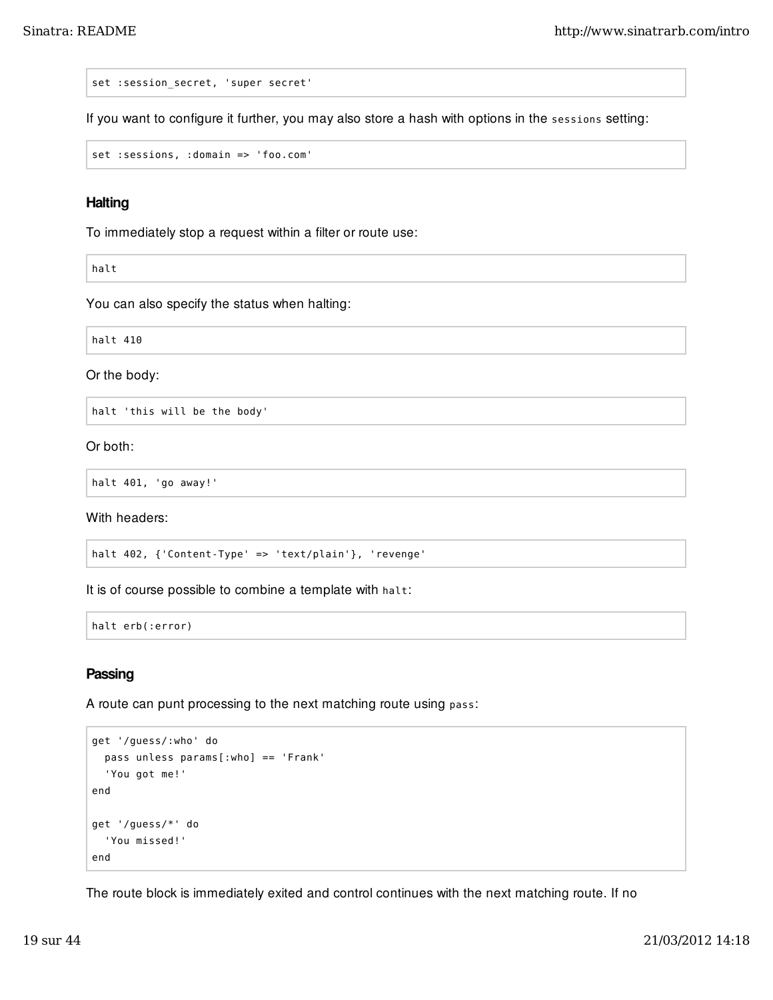set : session secret, 'super secret'

If you want to configure it further, you may also store a hash with options in the sessions setting:

set :sessions, :domain => 'foo.com'

### **Halting**

To immediately stop a request within a filter or route use:

halt

You can also specify the status when halting:

halt 410

Or the body:

halt 'this will be the body'

Or both:

halt 401, 'go away!'

With headers:

halt 402, {'Content-Type' => 'text/plain'}, 'revenge'

It is of course possible to combine a template with halt:

halt erb(:error)

#### **Passing**

A route can punt processing to the next matching route using pass:

```
get '/guess/:who' do
   pass unless params[:who] == 'Frank'
   'You got me!'
end
get '/guess/*' do
   'You missed!'
end
```
The route block is immediately exited and control continues with the next matching route. If no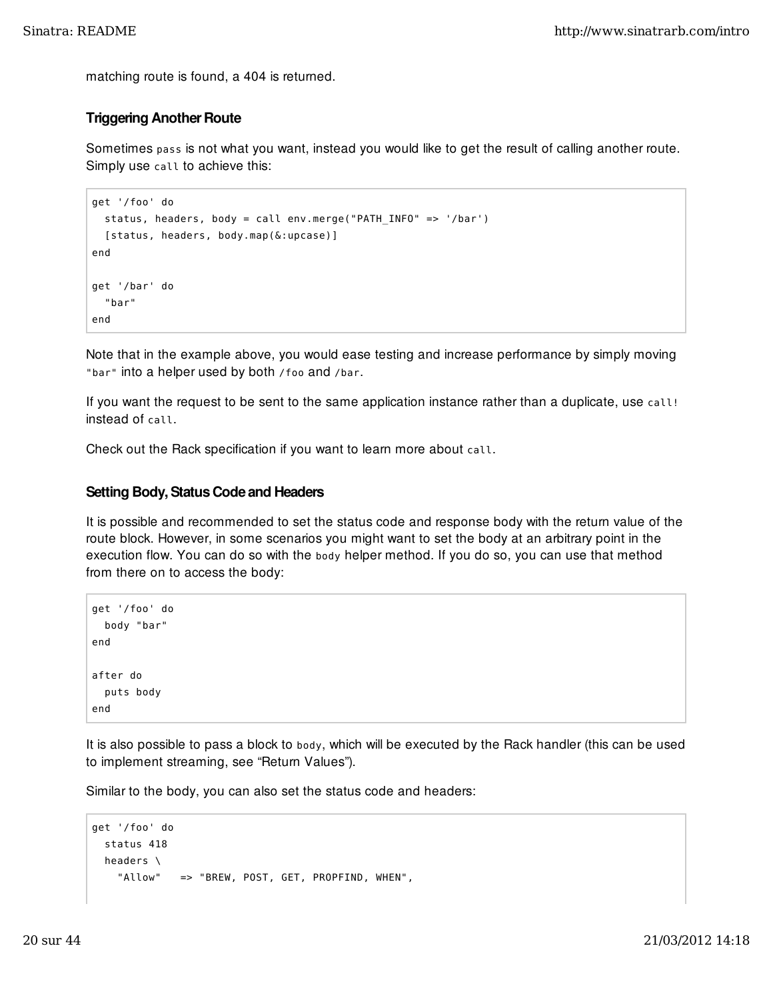matching route is found, a 404 is returned.

## Triggering Another Route

Sometimes pass is not what you want, instead you would like to get the result of calling another route. Simply use call to achieve this:

```
get '/foo' do
   status, headers, body = call env.merge("PATH_INFO" => '/bar')
   [status, headers, body.map(&:upcase)]
end
get '/bar' do
   "bar"
end
```
Note that in the example above, you would ease testing and increase performance by simply moving "bar" into a helper used by both / foo and / bar.

If you want the request to be sent to the same application instance rather than a duplicate, use call! instead of call.

Check out the Rack specification if you want to learn more about call.

#### Setting Body, Status Code and Headers

It is possible and recommended to set the status code and response body with the return value of the route block. However, in some scenarios you might want to set the body at an arbitrary point in the execution flow. You can do so with the body helper method. If you do so, you can use that method from there on to access the body:

```
get '/foo' do
   body "bar"
end
after do
   puts body
end
```
It is also possible to pass a block to body, which will be executed by the Rack handler (this can be used to implement streaming, see "Return Values").

Similar to the body, you can also set the status code and headers:

```
get '/foo' do
   status 418
   headers \
     "Allow" => "BREW, POST, GET, PROPFIND, WHEN",
```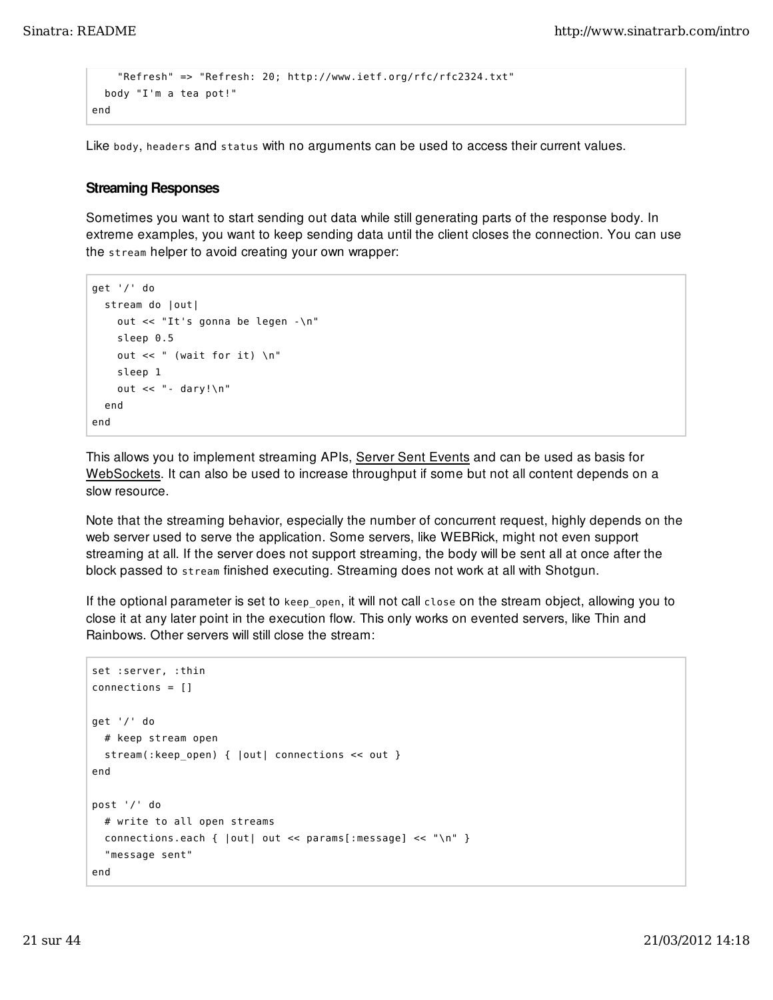```
 "Refresh" => "Refresh: 20; http://www.ietf.org/rfc/rfc2324.txt"
   body "I'm a tea pot!"
end
```
Like body, headers and status with no arguments can be used to access their current values.

#### Streaming Responses

Sometimes you want to start sending out data while still generating parts of the response body. In extreme examples, you want to keep sending data until the client closes the connection. You can use the stream helper to avoid creating your own wrapper:

```
get '/' do
   stream do |out|
     out << "It's gonna be legen -\n"
     sleep 0.5
    out << " (wait for it) \n"
     sleep 1
     out << "- dary!\n"
   end
end
```
This allows you to implement streaming APIs, Server Sent Events and can be used as basis for WebSockets. It can also be used to increase throughput if some but not all content depends on a slow resource.

Note that the streaming behavior, especially the number of concurrent request, highly depends on the web server used to serve the application. Some servers, like WEBRick, might not even support streaming at all. If the server does not support streaming, the body will be sent all at once after the block passed to stream finished executing. Streaming does not work at all with Shotgun.

If the optional parameter is set to keep open, it will not call close on the stream object, allowing you to close it at any later point in the execution flow. This only works on evented servers, like Thin and Rainbows. Other servers will still close the stream:

```
set :server, :thin
connections = []
get '/' do
   # keep stream open
   stream(:keep_open) { |out| connections << out }
end
post '/' do
   # write to all open streams
   connections.each { |out| out << params[:message] << "\n" }
   "message sent"
end
```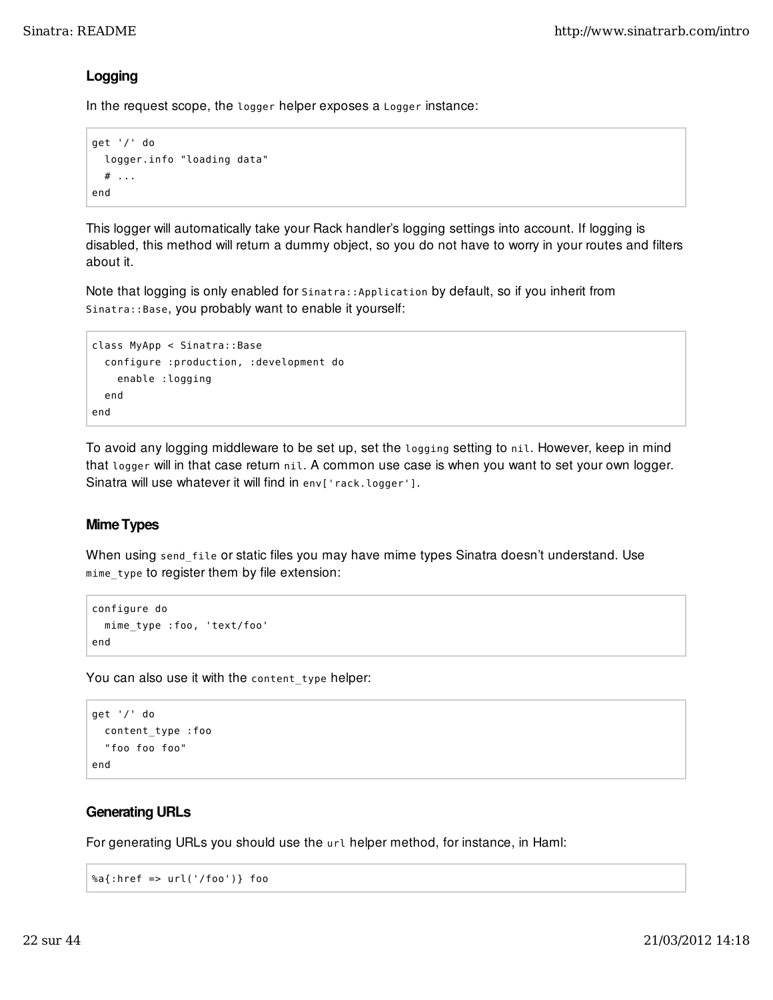## Logging

In the request scope, the logger helper exposes a Logger instance:

```
get '/' do
   logger.info "loading data"
  # ...
end
```
This logger will automatically take your Rack handler's logging settings into account. If logging is disabled, this method will return a dummy object, so you do not have to worry in your routes and filters about it.

Note that logging is only enabled for Sinatra:: Application by default, so if you inherit from Sinatra::Base, you probably want to enable it yourself:

```
class MyApp < Sinatra::Base
   configure :production, :development do
     enable :logging
   end
end
```
To avoid any logging middleware to be set up, set the logging setting to nil. However, keep in mind that logger will in that case return nil. A common use case is when you want to set your own logger. Sinatra will use whatever it will find in env['rack.logger'].

## Mime Types

When using send\_file or static files you may have mime types Sinatra doesn't understand. Use mime\_type to register them by file extension:

```
configure do
   mime_type :foo, 'text/foo'
end
```
You can also use it with the content type helper:

```
get '/' do
   content_type :foo
   "foo foo foo"
end
```
## Generating URLs

For generating URLs you should use the url helper method, for instance, in Haml:

```
%a{:href => url('/foo')} foo
```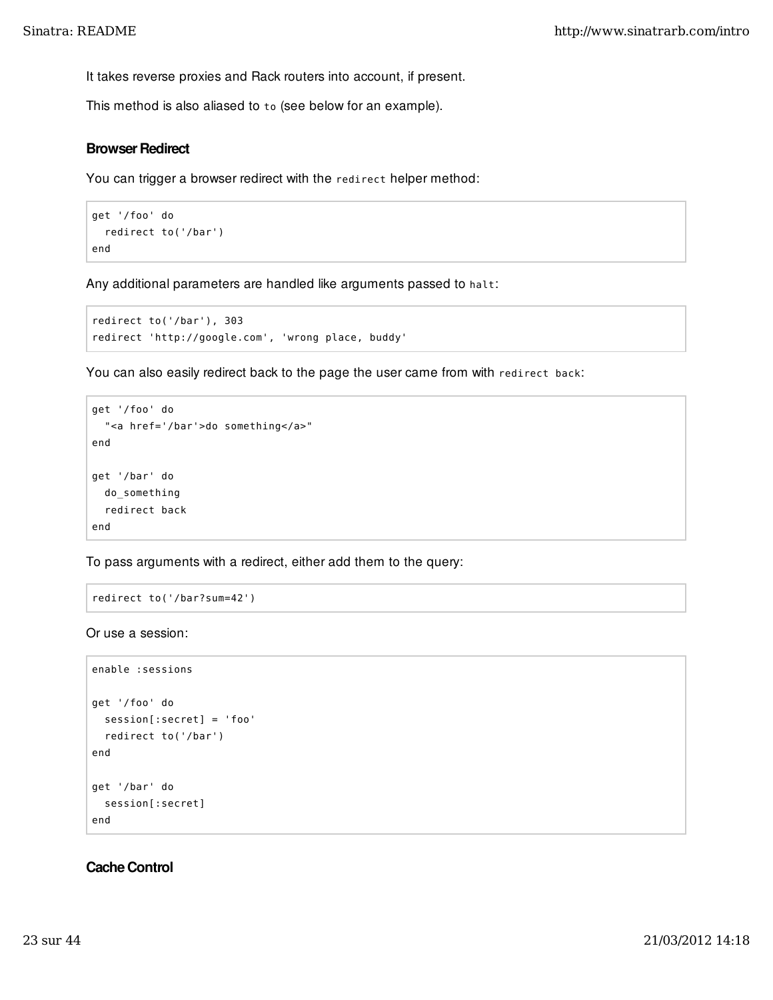It takes reverse proxies and Rack routers into account, if present.

This method is also aliased to to (see below for an example).

### Browser Redirect

You can trigger a browser redirect with the redirect helper method:

```
get '/foo' do
   redirect to('/bar')
end
```
Any additional parameters are handled like arguments passed to halt:

```
redirect to('/bar'), 303
redirect 'http://google.com', 'wrong place, buddy'
```
You can also easily redirect back to the page the user came from with redirect back:

```
get '/foo' do
   "<a href='/bar'>do something</a>"
end
get '/bar' do
   do_something
   redirect back
end
```
To pass arguments with a redirect, either add them to the query:

```
redirect to('/bar?sum=42')
```
Or use a session:

```
enable :sessions
get '/foo' do
   session[:secret] = 'foo'
   redirect to('/bar')
end
get '/bar' do
  session[:secret]
end
```
### Cache Control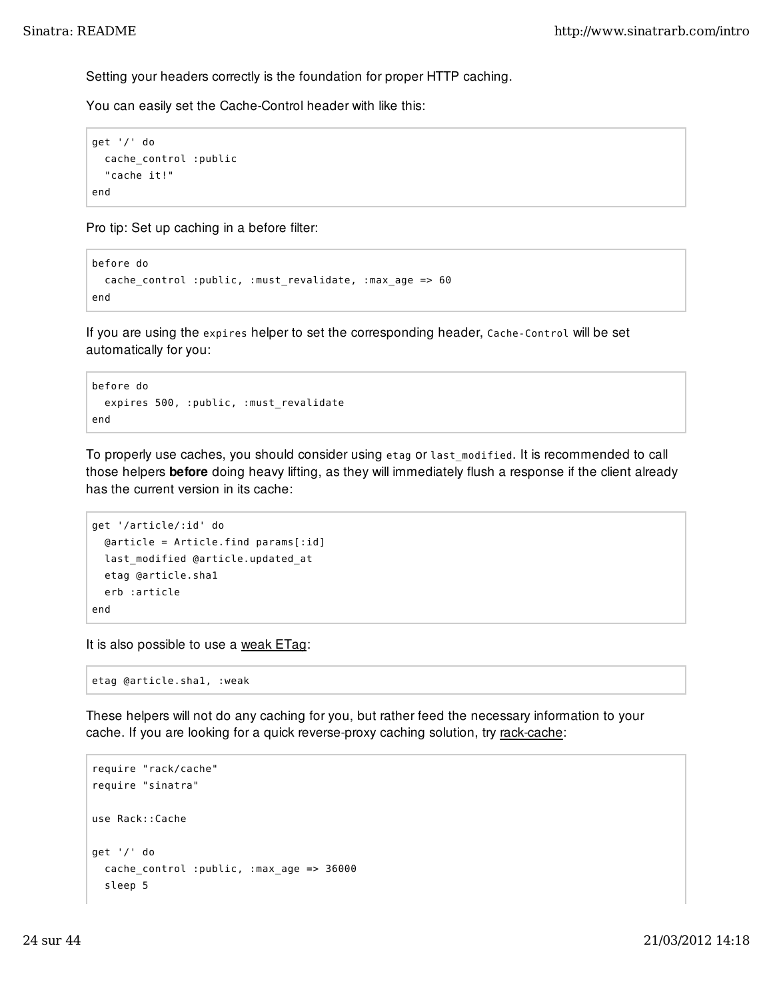Setting your headers correctly is the foundation for proper HTTP caching.

You can easily set the Cache-Control header with like this:

```
get '/' do
   cache_control :public
   "cache it!"
end
```
Pro tip: Set up caching in a before filter:

```
before do
   cache_control :public, :must_revalidate, :max_age => 60
end
```
If you are using the expires helper to set the corresponding header, Cache-Control will be set automatically for you:

```
before do
   expires 500, :public, :must_revalidate
end
```
To properly use caches, you should consider using etag or last\_modified. It is recommended to call those helpers **before** doing heavy lifting, as they will immediately flush a response if the client already has the current version in its cache:

```
get '/article/:id' do
   @article = Article.find params[:id]
   last_modified @article.updated_at
   etag @article.sha1
   erb :article
end
```
It is also possible to use a weak ETag:

etag @article.sha1, :weak

These helpers will not do any caching for you, but rather feed the necessary information to your cache. If you are looking for a quick reverse-proxy caching solution, try rack-cache:

```
require "rack/cache"
require "sinatra"
use Rack::Cache
get '/' do
   cache_control :public, :max_age => 36000
   sleep 5
```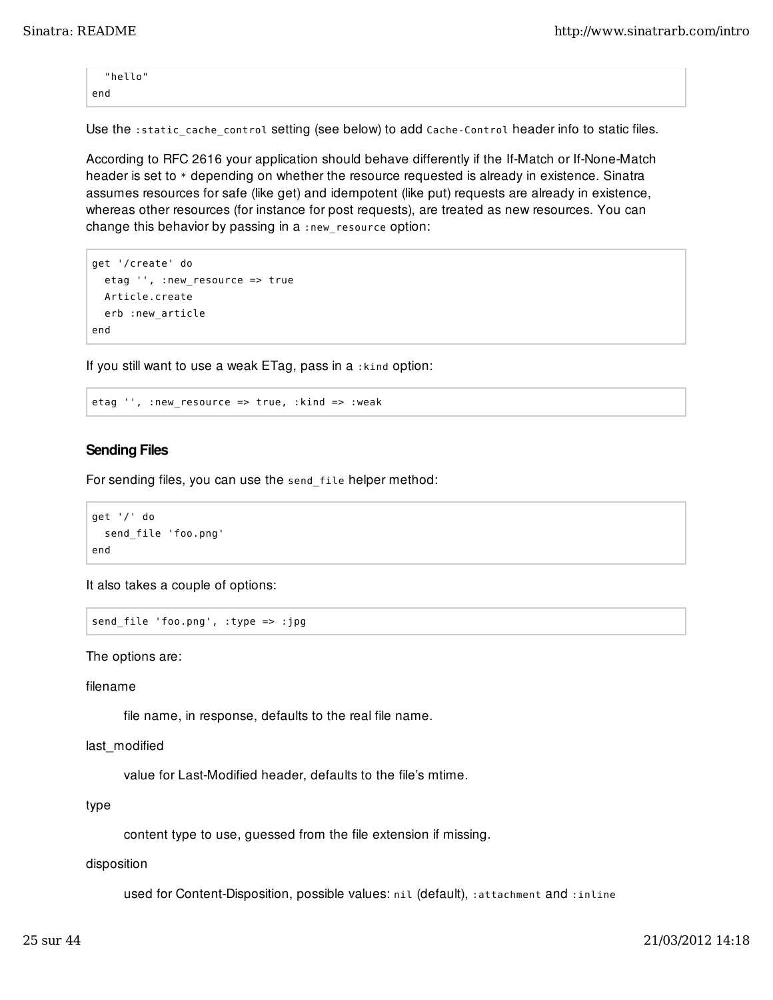"hello" end

Use the :static\_cache\_control setting (see below) to add Cache-Control header info to static files.

According to RFC 2616 your application should behave differently if the If-Match or If-None-Match header is set to  $*$  depending on whether the resource requested is already in existence. Sinatra assumes resources for safe (like get) and idempotent (like put) requests are already in existence, whereas other resources (for instance for post requests), are treated as new resources. You can change this behavior by passing in a :new\_resource option:

```
get '/create' do
   etag '', :new_resource => true
   Article.create
   erb :new_article
end
```
If you still want to use a weak ETag, pass in a :kind option:

etag '', :new\_resource => true, :kind => :weak

### Sending Files

For sending files, you can use the send\_file helper method:

```
get '/' do
   send_file 'foo.png'
end
```
It also takes a couple of options:

send\_file 'foo.png', :type => :jpg

The options are:

filename

file name, in response, defaults to the real file name.

```
last modified
```
value for Last-Modified header, defaults to the file's mtime.

type

content type to use, guessed from the file extension if missing.

disposition

used for Content-Disposition, possible values: nil (default), :attachment and :inline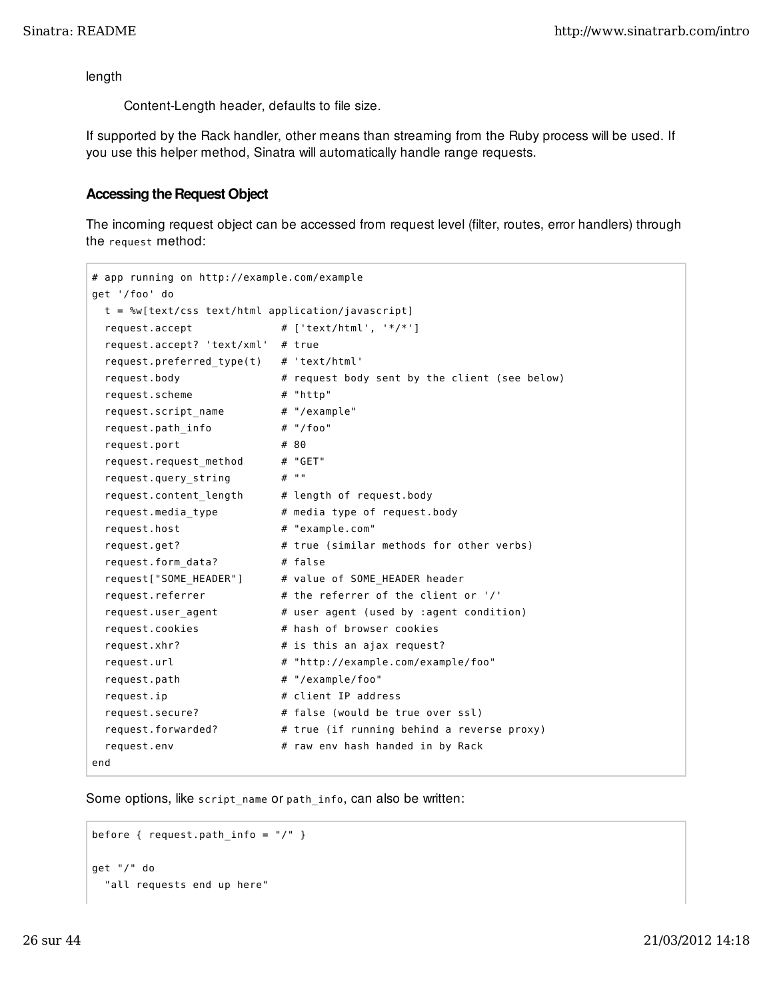length

Content-Length header, defaults to file size.

If supported by the Rack handler, other means than streaming from the Ruby process will be used. If you use this helper method, Sinatra will automatically handle range requests.

## Accessing the Request Object

The incoming request object can be accessed from request level (filter, routes, error handlers) through the request method:

```
# app running on http://example.com/example
get '/foo' do
   t = %w[text/css text/html application/javascript]
  request.accept \# ['text/html', '*/*']
   request.accept? 'text/xml' # true
   request.preferred_type(t) # 'text/html'
  request.body \# request body sent by the client (see below)
   request.scheme # "http"
   request.script_name # "/example"
   request.path_info # "/foo"
  request.port # 80
  request.request_method # "GET"
  request.query_string # ""
 request.content_length # length of request.body
 request.media_type # media type of request.body
  request.host # "example.com"
  request.get? \qquad \qquad \qquad \# true (similar methods for other verbs)
   request.form_data? # false
   request["SOME_HEADER"] # value of SOME_HEADER header
  request.referrer # the referrer of the client or '/'
  request.user_agent # user agent (used by :agent condition)<br>request.cookies # hash of browser cookies
                              # hash of browser cookies
  request.xhr? # is this an ajax request?
  request.url \# "http://example.com/example/foo"
  request.path \# "/example/foo"
  request.ip <br>
request/secure?<br>
request.forwarded?<br>
r = 1<br>
r = 1<br>
r = 1<br>
r = 1<br>
r = 1<br>
r = 1<br>
r = 1<br>
r = 1<br>
r = 1<br>
r = 1<br>
r = 1<br>
r = 1<br>
r = 1<br>
r = 1<br>
r = 1<br>
r = 1<br>
r = 1<br>
r = 1<br>
r = 1<br>
r = 1<br>
r = 1<br>
r = 1<br>
r = 1<br>
r = 1# false (would be true over ssl)
                             # true (if running behind a reverse proxy)
  request.env # raw env hash handed in by Rack
end
```
Some options, like script\_name or path\_info, can also be written:

```
before { request.path info = ''/'' }
get "/" do
   "all requests end up here"
```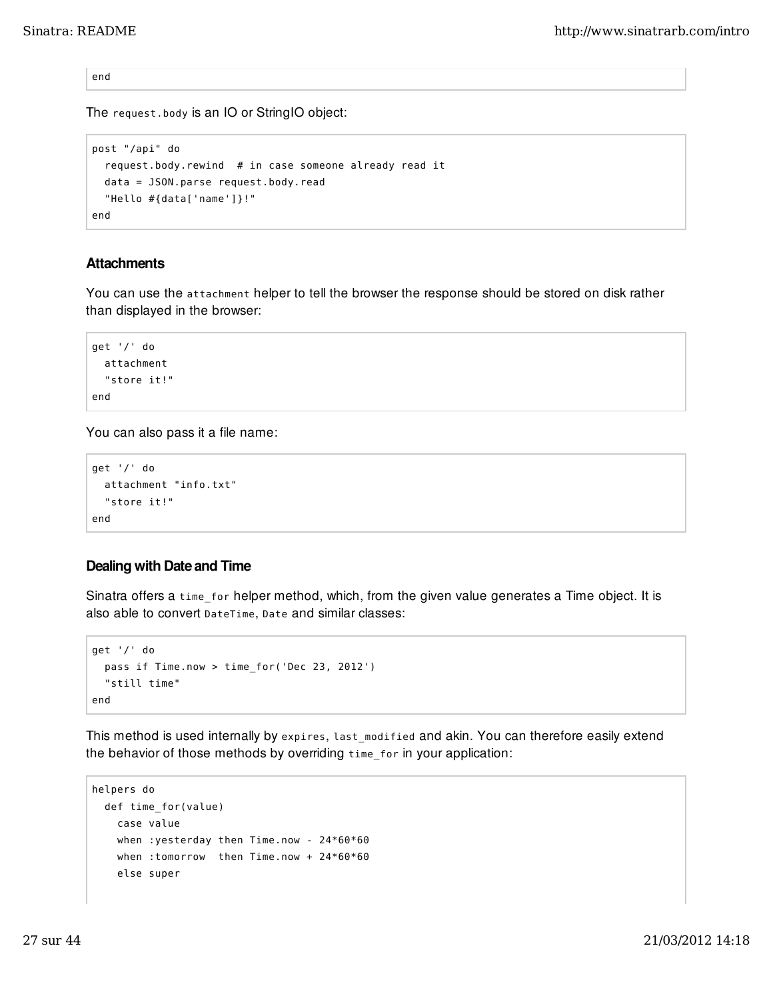end

The request.body is an IO or StringIO object:

```
post "/api" do
   request.body.rewind # in case someone already read it
   data = JSON.parse request.body.read
   "Hello #{data['name']}!"
end
```
## **Attachments**

You can use the attachment helper to tell the browser the response should be stored on disk rather than displayed in the browser:

```
get '/' do
   attachment
   "store it!"
end
```
You can also pass it a file name:

```
get '/' do
   attachment "info.txt"
   "store it!"
end
```
## Dealing with Date and Time

Sinatra offers a time\_for helper method, which, from the given value generates a Time object. It is also able to convert DateTime, Date and similar classes:

```
get '/' do
   pass if Time.now > time_for('Dec 23, 2012')
   "still time"
end
```
This method is used internally by expires, last\_modified and akin. You can therefore easily extend the behavior of those methods by overriding time\_for in your application:

```
helpers do
   def time_for(value)
    case value
     when :yesterday then Time.now - 24*60*60
     when :tomorrow then Time.now + 24*60*60
     else super
```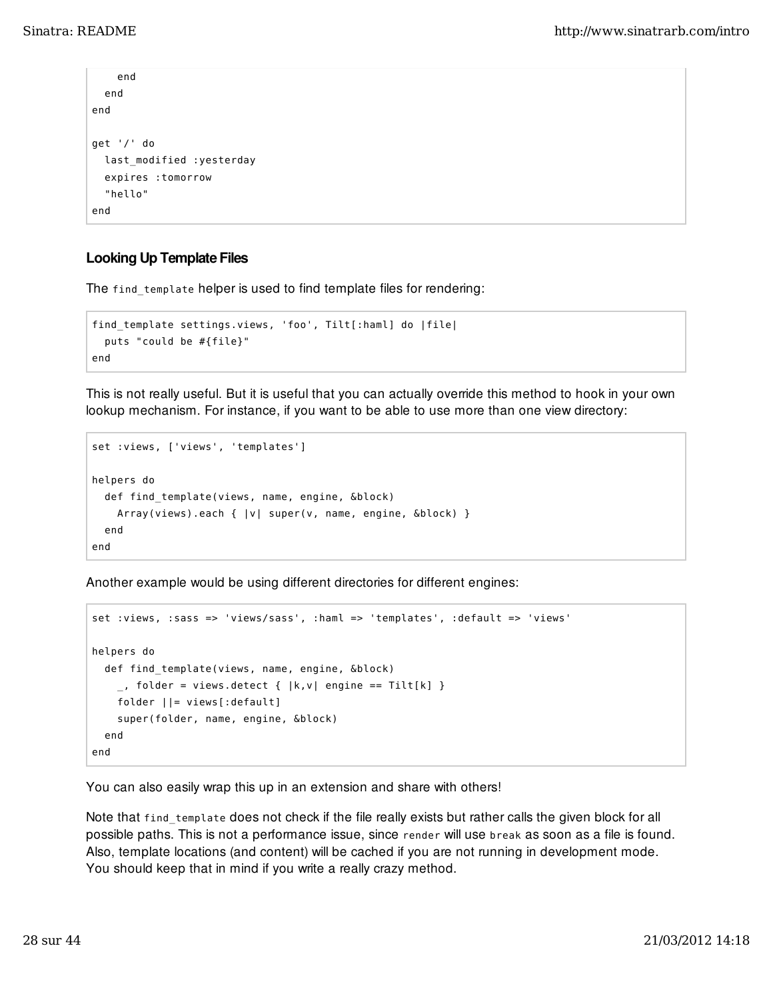```
 end
   end
end
get '/' do
   last_modified :yesterday
   expires :tomorrow
   "hello"
end
```
## Looking Up Template Files

The find\_template helper is used to find template files for rendering:

```
find_template settings.views, 'foo', Tilt[:haml] do |file|
   puts "could be #{file}"
end
```
This is not really useful. But it is useful that you can actually override this method to hook in your own lookup mechanism. For instance, if you want to be able to use more than one view directory:

```
set :views, ['views', 'templates']
helpers do
   def find_template(views, name, engine, &block)
    Array(views).each { |v| super(v, name, engine, &block) }
   end
end
```
Another example would be using different directories for different engines:

```
set :views, :sass => 'views/sass', :haml => 'templates', :default => 'views'
helpers do
   def find_template(views, name, engine, &block)
    \_, folder = views.detect { |k,v| engine == Tilt[k] }
     folder ||= views[:default]
     super(folder, name, engine, &block)
   end
end
```
You can also easily wrap this up in an extension and share with others!

Note that find\_template does not check if the file really exists but rather calls the given block for all possible paths. This is not a performance issue, since render will use break as soon as a file is found. Also, template locations (and content) will be cached if you are not running in development mode. You should keep that in mind if you write a really crazy method.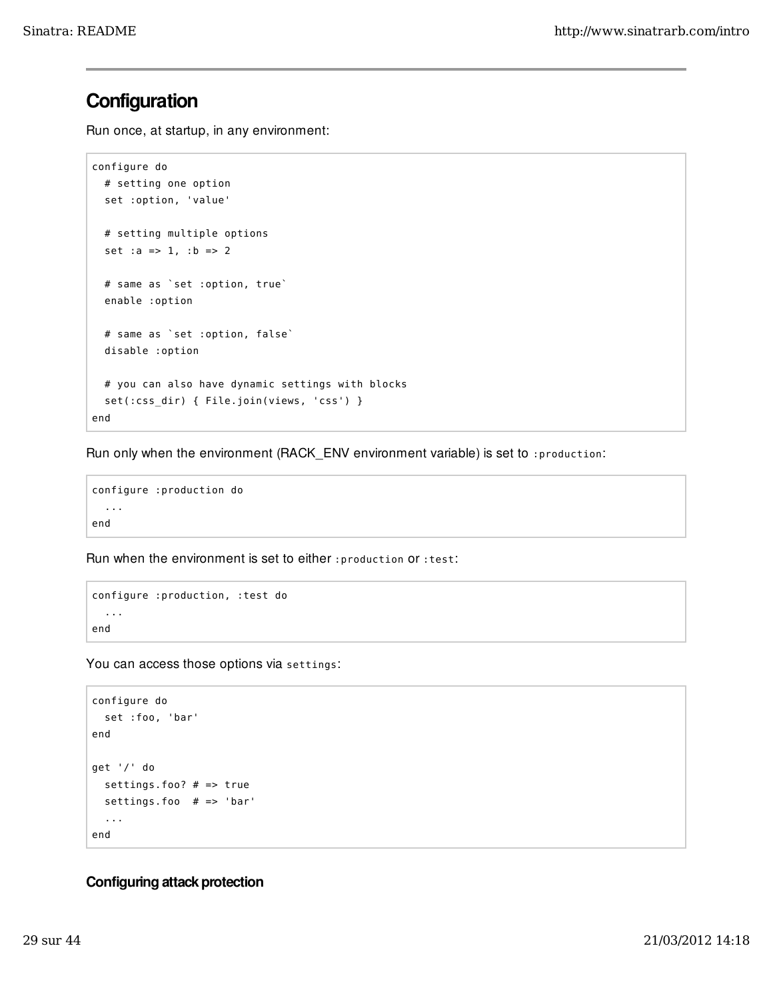## **Configuration**

Run once, at startup, in any environment:

```
configure do
   # setting one option
   set :option, 'value'
   # setting multiple options
   set :a => 1, :b => 2
   # same as `set :option, true`
   enable :option
   # same as `set :option, false`
   disable :option
   # you can also have dynamic settings with blocks
   set(:css_dir) { File.join(views, 'css') }
end
```
Run only when the environment (RACK\_ENV environment variable) is set to :production:

```
configure :production do
   ...
end
```
Run when the environment is set to either :production or :test:

```
configure :production, :test do
   ...
end
```
You can access those options via settings:

```
configure do
  set :foo, 'bar'
end
get '/' do
   settings.foo? # => true
   settings.foo # => 'bar'
   ...
end
```
## Configuring attack protection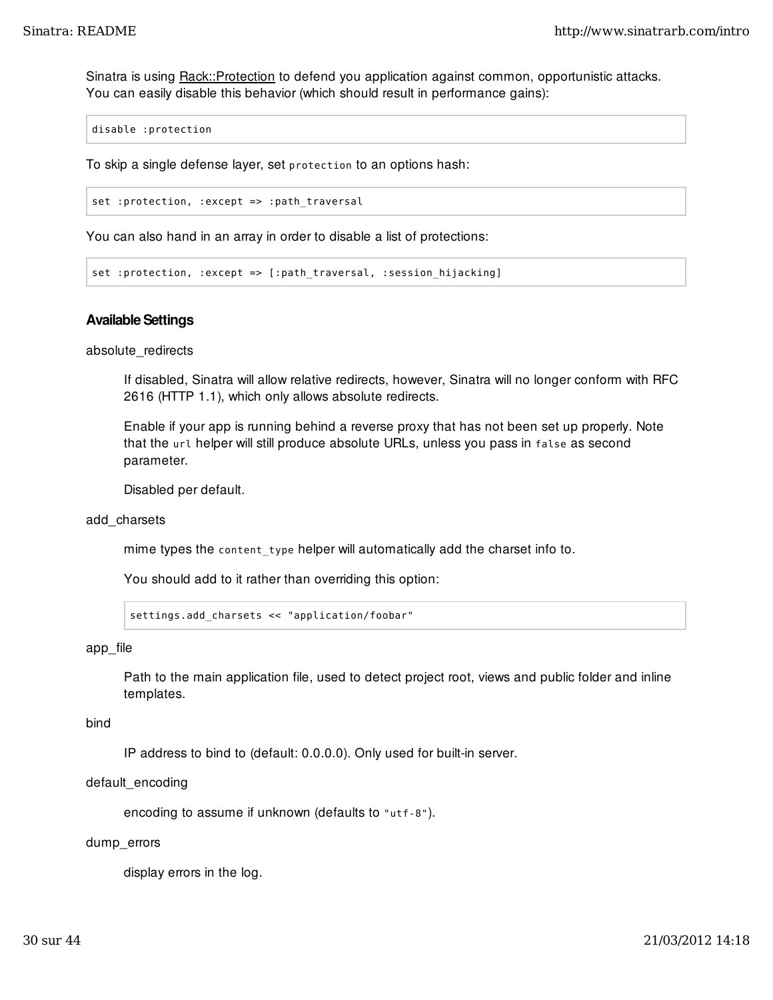Sinatra is using **Rack::Protection** to defend you application against common, opportunistic attacks. You can easily disable this behavior (which should result in performance gains):

disable :protection

To skip a single defense layer, set protection to an options hash:

set :protection, :except => :path\_traversal

You can also hand in an array in order to disable a list of protections:

set :protection, :except => [:path\_traversal, :session\_hijacking]

#### Available Settings

absolute\_redirects

If disabled, Sinatra will allow relative redirects, however, Sinatra will no longer conform with RFC 2616 (HTTP 1.1), which only allows absolute redirects.

Enable if your app is running behind a reverse proxy that has not been set up properly. Note that the url helper will still produce absolute URLs, unless you pass in false as second parameter.

Disabled per default.

#### add\_charsets

mime types the content\_type helper will automatically add the charset info to.

You should add to it rather than overriding this option:

settings.add\_charsets << "application/foobar"

#### app\_file

Path to the main application file, used to detect project root, views and public folder and inline templates.

#### bind

IP address to bind to (default: 0.0.0.0). Only used for built-in server.

#### default\_encoding

encoding to assume if unknown (defaults to "utf-8").

#### dump\_errors

display errors in the log.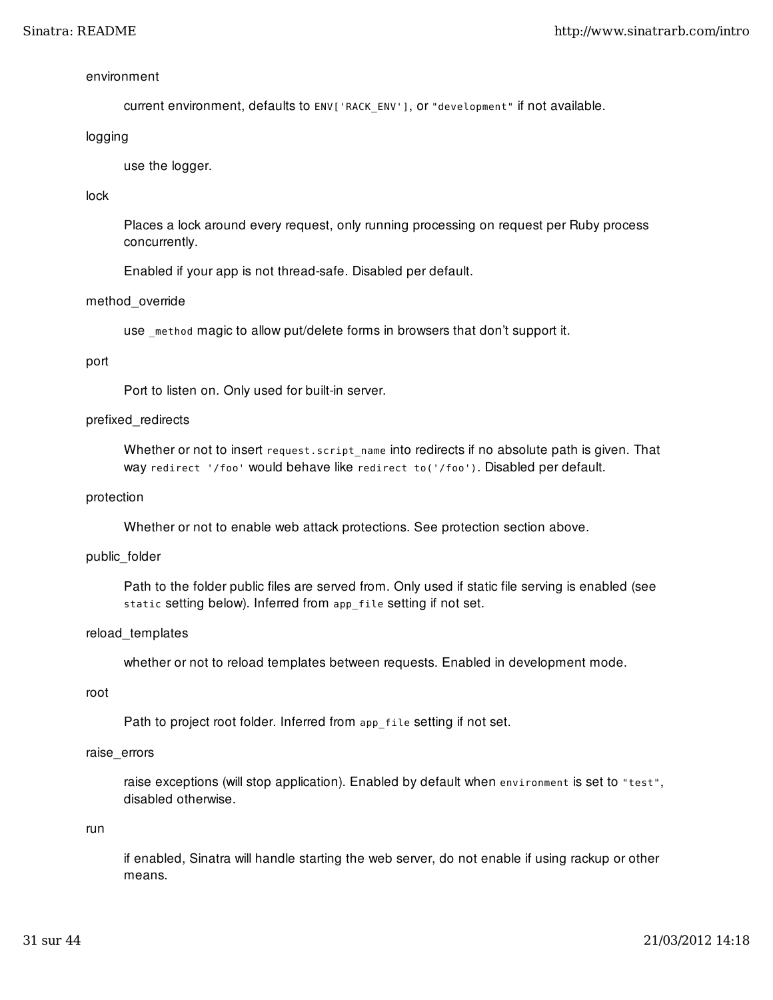#### environment

current environment, defaults to ENV['RACK\_ENV'], or "development" if not available.

#### logging

use the logger.

#### lock

Places a lock around every request, only running processing on request per Ruby process concurrently.

Enabled if your app is not thread-safe. Disabled per default.

#### method\_override

use \_method magic to allow put/delete forms in browsers that don't support it.

#### port

Port to listen on. Only used for built-in server.

#### prefixed\_redirects

Whether or not to insert request.script\_name into redirects if no absolute path is given. That way redirect '/foo' would behave like redirect to('/foo'). Disabled per default.

#### protection

Whether or not to enable web attack protections. See protection section above.

#### public\_folder

Path to the folder public files are served from. Only used if static file serving is enabled (see static setting below). Inferred from app\_file setting if not set.

#### reload\_templates

whether or not to reload templates between requests. Enabled in development mode.

#### root

Path to project root folder. Inferred from app\_file setting if not set.

#### raise\_errors

raise exceptions (will stop application). Enabled by default when environment is set to "test", disabled otherwise.

#### run

if enabled, Sinatra will handle starting the web server, do not enable if using rackup or other means.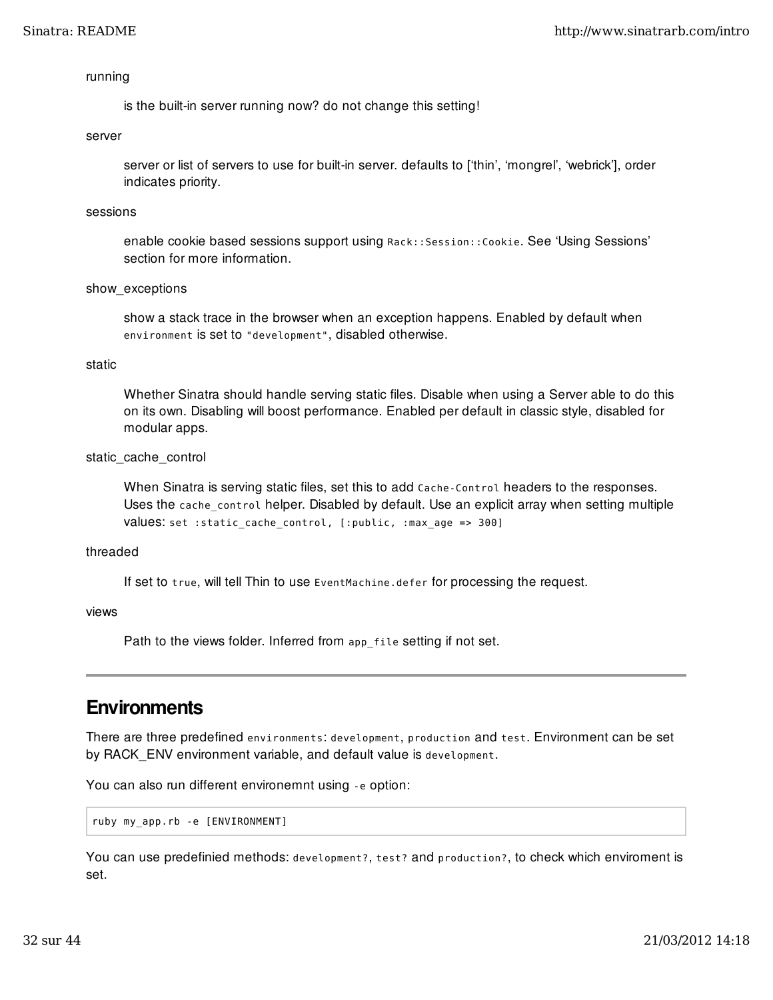#### running

is the built-in server running now? do not change this setting!

#### server

server or list of servers to use for built-in server. defaults to ['thin', 'mongrel', 'webrick'], order indicates priority.

#### sessions

enable cookie based sessions support using Rack::Session::Cookie. See 'Using Sessions' section for more information.

#### show exceptions

show a stack trace in the browser when an exception happens. Enabled by default when environment is set to "development", disabled otherwise.

#### static

Whether Sinatra should handle serving static files. Disable when using a Server able to do this on its own. Disabling will boost performance. Enabled per default in classic style, disabled for modular apps.

#### static\_cache\_control

When Sinatra is serving static files, set this to add Cache-Control headers to the responses. Uses the cache control helper. Disabled by default. Use an explicit array when setting multiple values: set :static\_cache\_control, [:public, :max\_age => 300]

#### threaded

If set to true, will tell Thin to use EventMachine.defer for processing the request.

#### views

Path to the views folder. Inferred from app\_file setting if not set.

## **Environments**

There are three predefined environments: development, production and test. Environment can be set by RACK\_ENV environment variable, and default value is development.

You can also run different environemnt using -e option:

ruby my\_app.rb -e [ENVIRONMENT]

You can use predefinied methods: development?, test? and production?, to check which enviroment is set.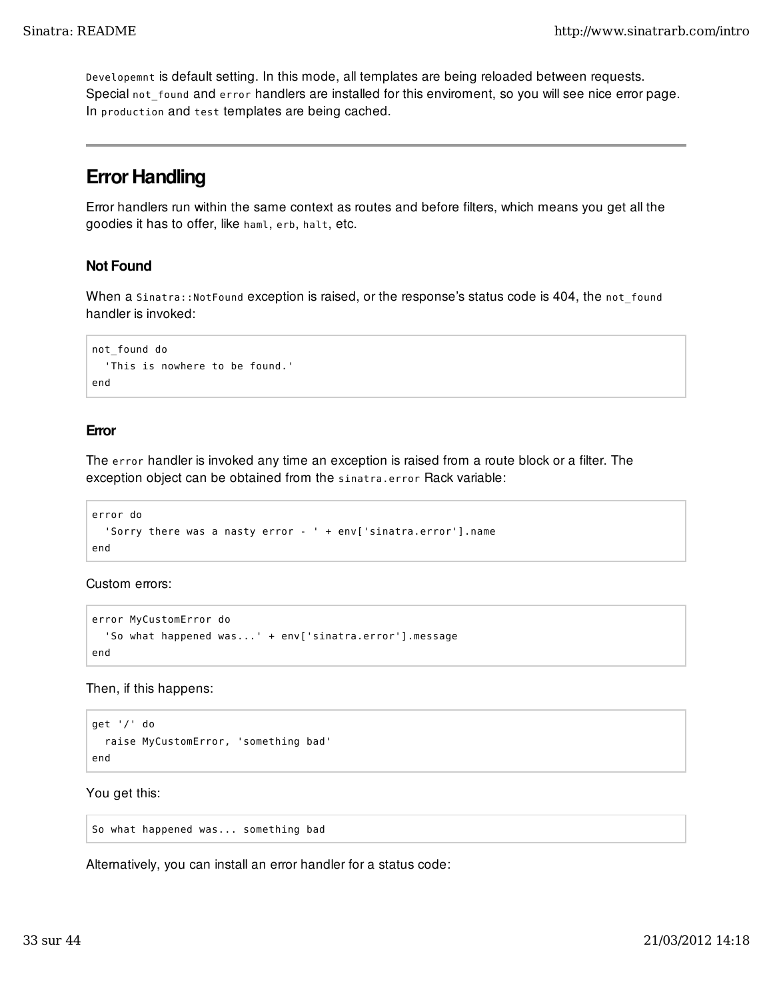Developemnt is default setting. In this mode, all templates are being reloaded between requests. Special not\_found and error handlers are installed for this enviroment, so you will see nice error page. In production and test templates are being cached.

## Error Handling

Error handlers run within the same context as routes and before filters, which means you get all the goodies it has to offer, like haml, erb, halt, etc.

## Not Found

When a Sinatra::NotFound exception is raised, or the response's status code is 404, the not\_found handler is invoked:

```
not_found do
   'This is nowhere to be found.'
end
```
## Error

The error handler is invoked any time an exception is raised from a route block or a filter. The exception object can be obtained from the sinatra.error Rack variable:

```
error do
   'Sorry there was a nasty error - ' + env['sinatra.error'].name
end
```
Custom errors:

```
error MyCustomError do
   'So what happened was...' + env['sinatra.error'].message
end
```
Then, if this happens:

```
get '/' do
   raise MyCustomError, 'something bad'
end
```
You get this:

So what happened was... something bad

Alternatively, you can install an error handler for a status code: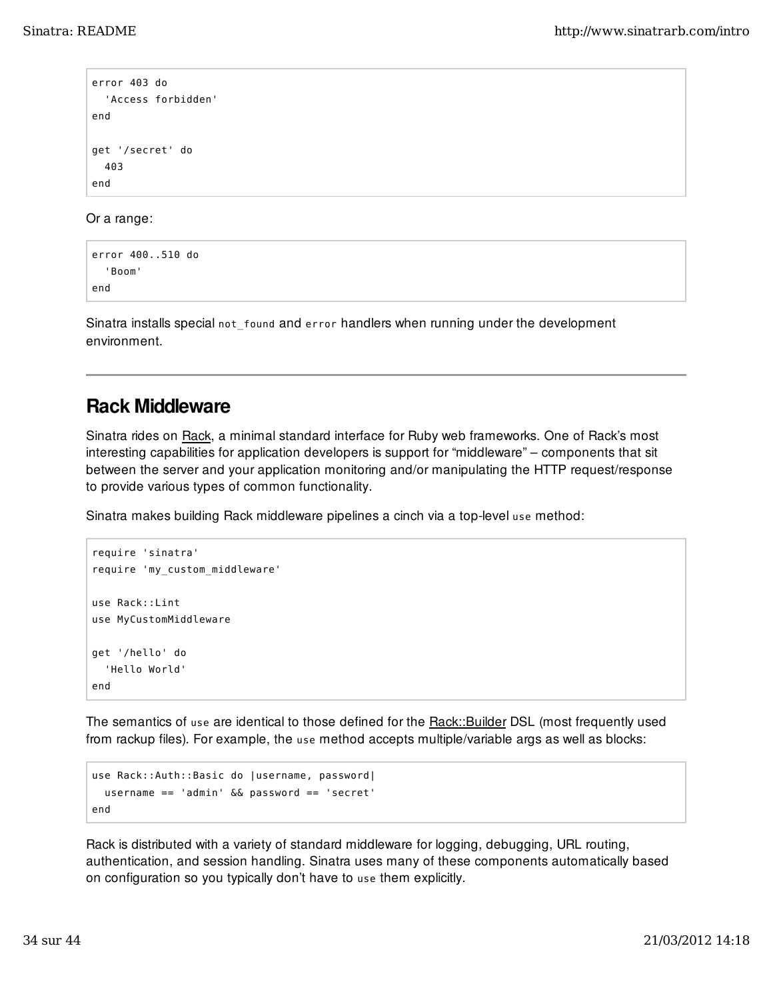```
error 403 do
   'Access forbidden'
end
get '/secret' do
   403
end
```
Or a range:

```
error 400..510 do
   'Boom'
end
```
Sinatra installs special not found and error handlers when running under the development environment.

## Rack Middleware

Sinatra rides on Rack, a minimal standard interface for Ruby web frameworks. One of Rack's most interesting capabilities for application developers is support for "middleware" – components that sit between the server and your application monitoring and/or manipulating the HTTP request/response to provide various types of common functionality.

Sinatra makes building Rack middleware pipelines a cinch via a top-level use method:

```
require 'sinatra'
require 'my_custom_middleware'
use Rack::Lint
use MyCustomMiddleware
get '/hello' do
   'Hello World'
end
```
The semantics of use are identical to those defined for the **Rack::Builder DSL** (most frequently used from rackup files). For example, the use method accepts multiple/variable args as well as blocks:

```
use Rack::Auth::Basic do |username, password|
   username == 'admin' && password == 'secret'
end
```
Rack is distributed with a variety of standard middleware for logging, debugging, URL routing, authentication, and session handling. Sinatra uses many of these components automatically based on configuration so you typically don't have to use them explicitly.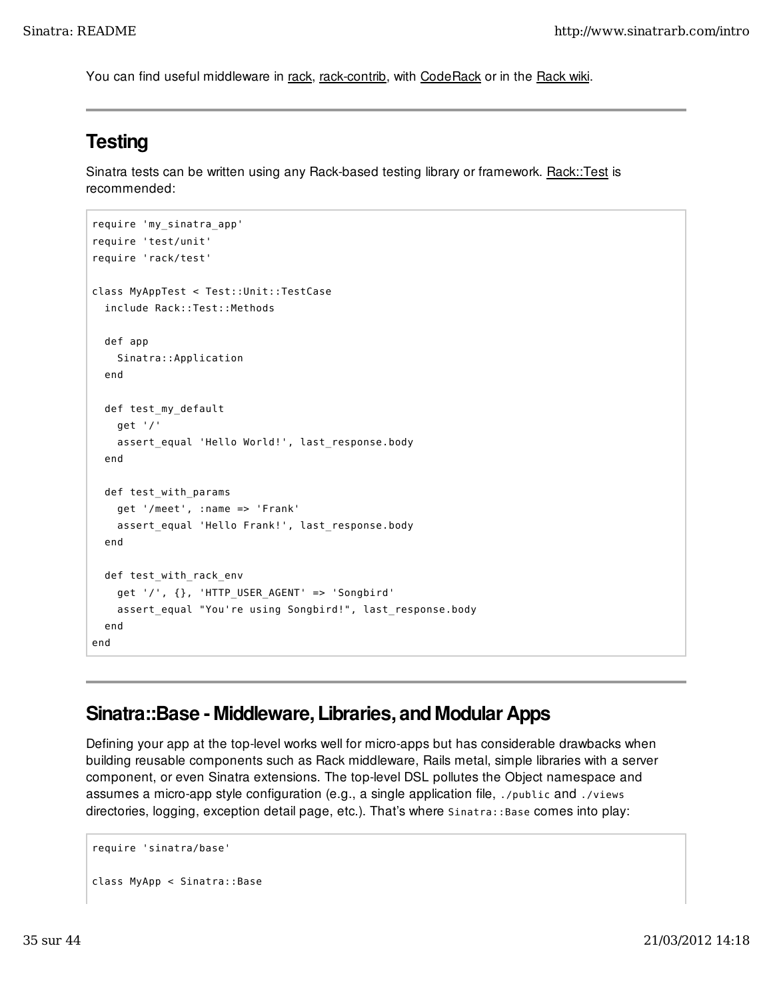You can find useful middleware in rack, rack-contrib, with CodeRack or in the Rack wiki.

## **Testing**

Sinatra tests can be written using any Rack-based testing library or framework. Rack::Test is recommended:

```
require 'my_sinatra_app'
require 'test/unit'
require 'rack/test'
class MyAppTest < Test::Unit::TestCase
   include Rack::Test::Methods
   def app
     Sinatra::Application
   end
   def test_my_default
    get '/'
    assert equal 'Hello World!', last response.body
   end
   def test_with_params
     get '/meet', :name => 'Frank'
     assert_equal 'Hello Frank!', last_response.body
   end
   def test_with_rack_env
     get '/', {}, 'HTTP_USER_AGENT' => 'Songbird'
     assert_equal "You're using Songbird!", last_response.body
   end
end
```
## Sinatra::Base - Middleware, Libraries, and Modular Apps

Defining your app at the top-level works well for micro-apps but has considerable drawbacks when building reusable components such as Rack middleware, Rails metal, simple libraries with a server component, or even Sinatra extensions. The top-level DSL pollutes the Object namespace and assumes a micro-app style configuration (e.g., a single application file, ./public and ./views directories, logging, exception detail page, etc.). That's where  $S$ inatra::Base comes into play:

```
require 'sinatra/base'
class MyApp < Sinatra::Base
```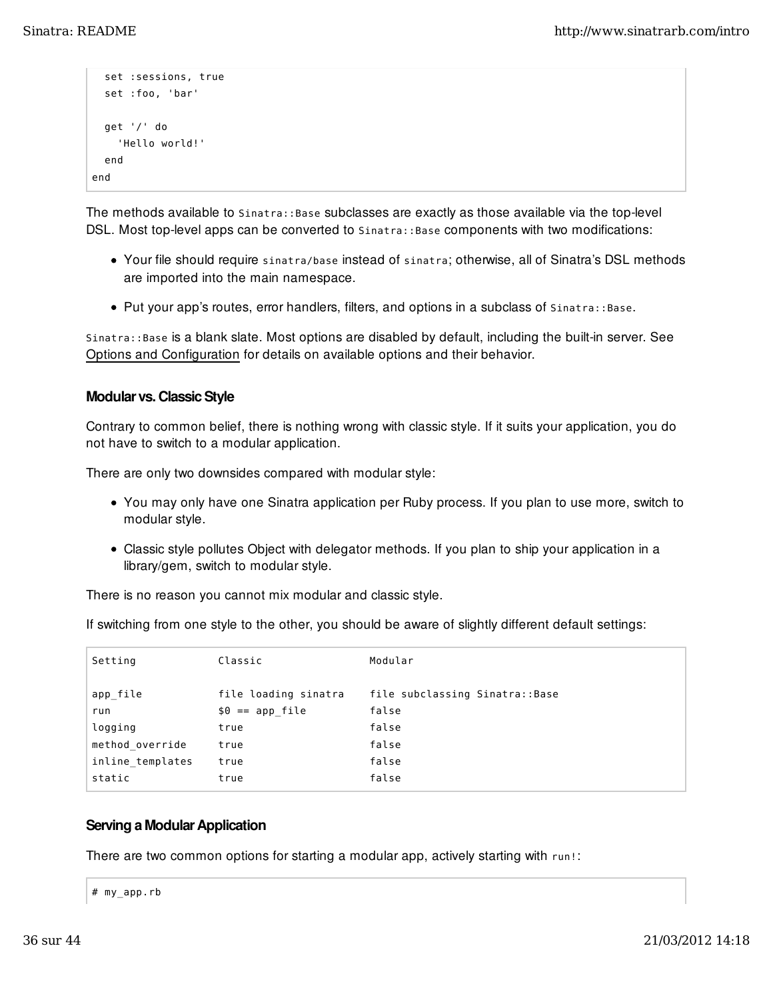```
 set :sessions, true
   set :foo, 'bar'
   get '/' do
     'Hello world!'
   end
end
```
The methods available to Sinatra::Base subclasses are exactly as those available via the top-level DSL. Most top-level apps can be converted to Sinatra:: Base components with two modifications:

- Your file should require sinatra/base instead of sinatra; otherwise, all of Sinatra's DSL methods are imported into the main namespace.
- Put your app's routes, error handlers, filters, and options in a subclass of Sinatra::Base.

Sinatra::Base is a blank slate. Most options are disabled by default, including the built-in server. See Options and Configuration for details on available options and their behavior.

### Modular vs. Classic Style

Contrary to common belief, there is nothing wrong with classic style. If it suits your application, you do not have to switch to a modular application.

There are only two downsides compared with modular style:

- You may only have one Sinatra application per Ruby process. If you plan to use more, switch to modular style.
- Classic style pollutes Object with delegator methods. If you plan to ship your application in a library/gem, switch to modular style.

There is no reason you cannot mix modular and classic style.

If switching from one style to the other, you should be aware of slightly different default settings:

| Setting          | Classic              | Modular                        |
|------------------|----------------------|--------------------------------|
|                  |                      |                                |
| run              | $$0 == app file$     | false                          |
| logging          | true                 | false                          |
| method override  | true                 | false                          |
| inline templates | true                 | false                          |
| static           | true                 | false                          |
| app file         | file loading sinatra | file subclassing Sinatra::Base |

### Serving a Modular Application

There are two common options for starting a modular app, actively starting with run!:

|  |  | # my_app.rb |  |  |
|--|--|-------------|--|--|
|--|--|-------------|--|--|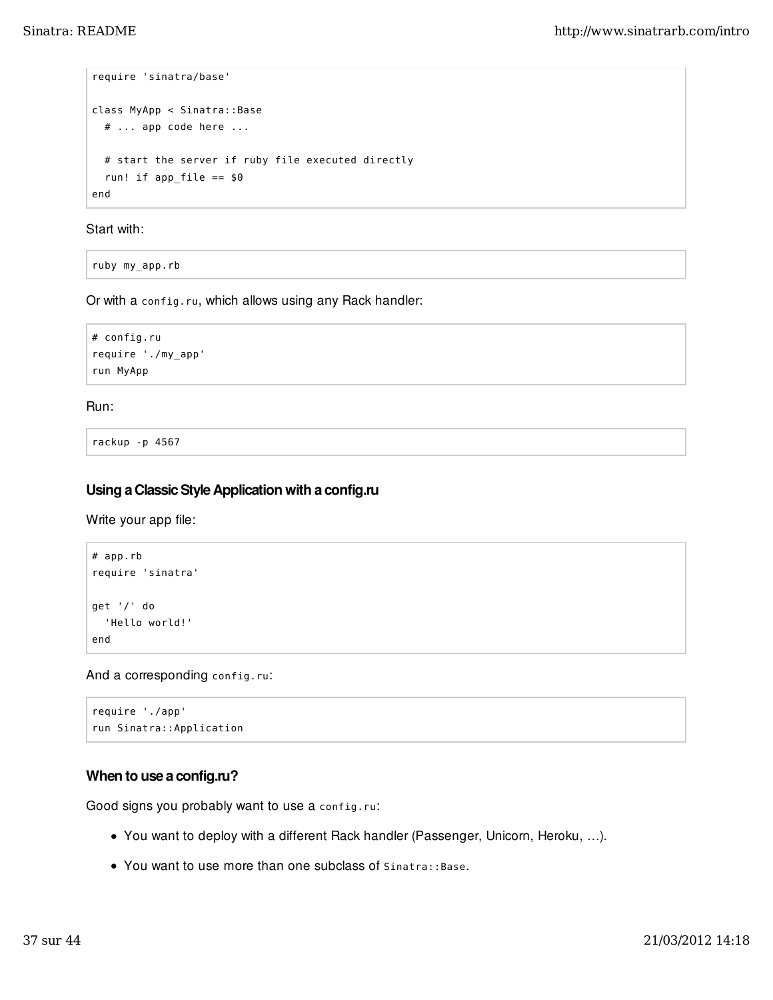```
require 'sinatra/base'
class MyApp < Sinatra::Base
   # ... app code here ...
   # start the server if ruby file executed directly
  run! if app\_file == $0end
```
Start with:

ruby my\_app.rb

Or with a config.ru, which allows using any Rack handler:

```
# config.ru
require './my_app'
run MyApp
```
Run:

rackup -p 4567

## Using a Classic Style Application with a config.ru

Write your app file:

```
# app.rb
require 'sinatra'
get '/' do
   'Hello world!'
end
```
And a corresponding config.ru:

```
require './app'
run Sinatra::Application
```
## When to use a config.ru?

Good signs you probably want to use a config.ru:

- You want to deploy with a different Rack handler (Passenger, Unicorn, Heroku, …).
- You want to use more than one subclass of Sinatra::Base.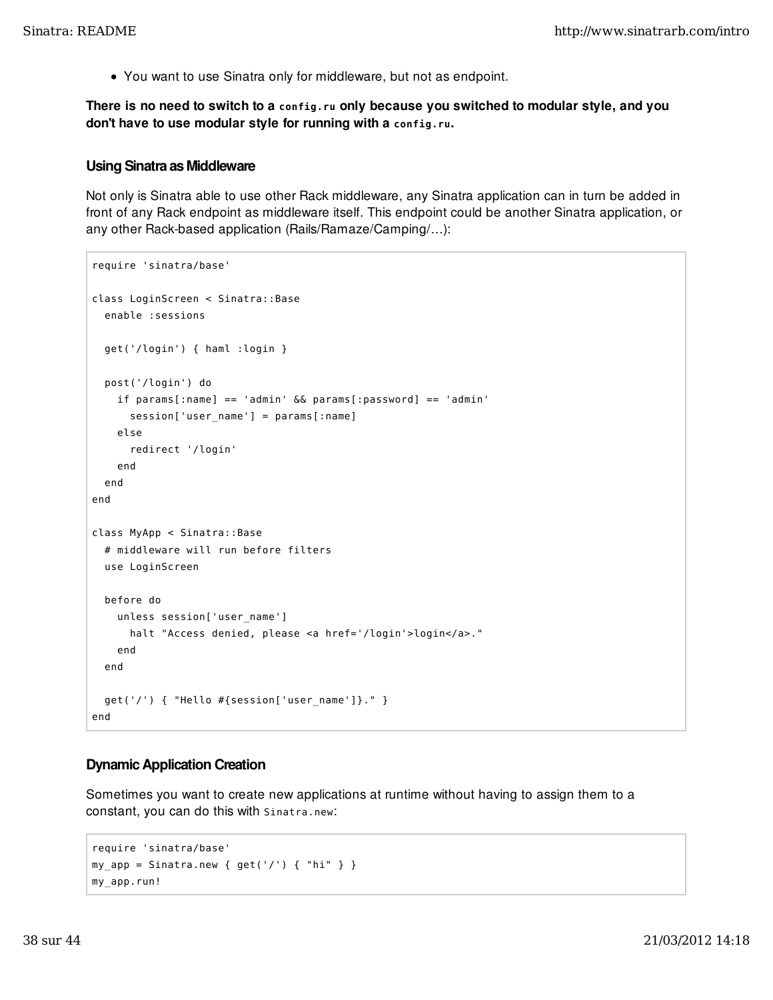You want to use Sinatra only for middleware, but not as endpoint.

There is no need to switch to a **config.ru** only because you switched to modular style, and you don't have to use modular style for running with a **config.ru**.

#### Using Sinatra as Middleware

Not only is Sinatra able to use other Rack middleware, any Sinatra application can in turn be added in front of any Rack endpoint as middleware itself. This endpoint could be another Sinatra application, or any other Rack-based application (Rails/Ramaze/Camping/…):

```
require 'sinatra/base'
class LoginScreen < Sinatra::Base
   enable :sessions
   get('/login') { haml :login }
   post('/login') do
     if params[:name] == 'admin' && params[:password] == 'admin'
       session['user_name'] = params[:name]
     else
       redirect '/login'
     end
   end
end
class MyApp < Sinatra::Base
   # middleware will run before filters
   use LoginScreen
   before do
     unless session['user_name']
       halt "Access denied, please <a href='/login'>login</a>."
     end
   end
   get('/') { "Hello #{session['user_name']}." }
end
```
### Dynamic Application Creation

Sometimes you want to create new applications at runtime without having to assign them to a constant, you can do this with Sinatra.new:

```
require 'sinatra/base'
my\_app = Sinatra.new { get('/') { } 'jmy_app.run!
```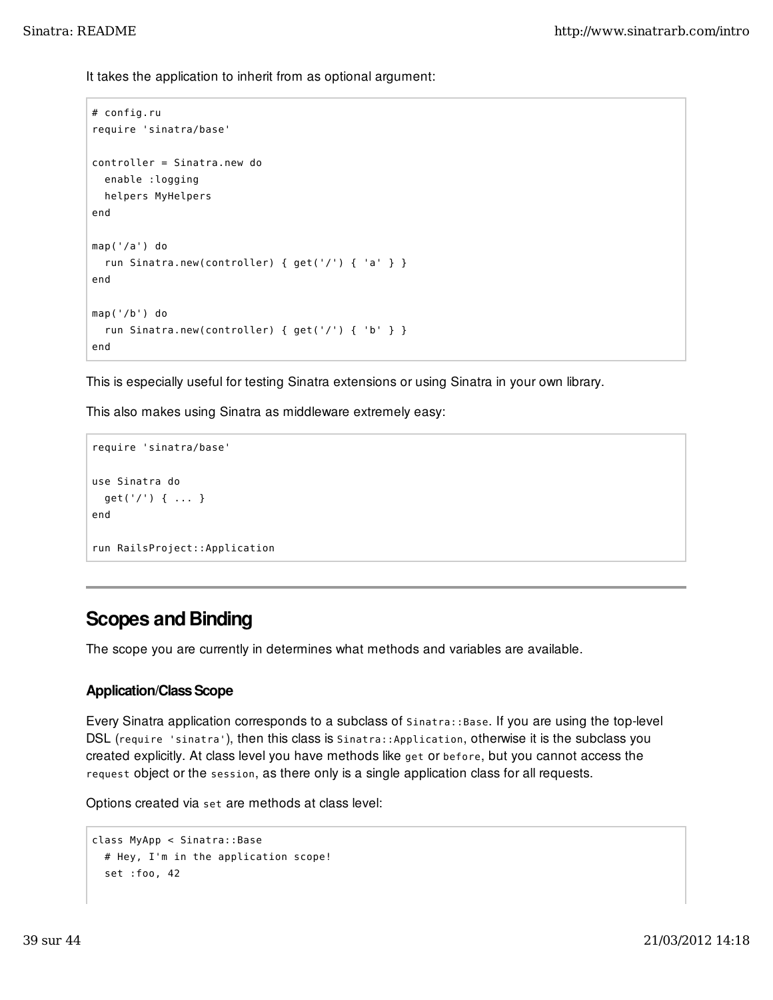It takes the application to inherit from as optional argument:

```
# config.ru
require 'sinatra/base'
controller = Sinatra.new do
   enable :logging
  helpers MyHelpers
end
map('/a') do
   run Sinatra.new(controller) { get('/') { 'a' } }
end
map('/b') do
   run Sinatra.new(controller) { get('/') { 'b' } }
end
```
This is especially useful for testing Sinatra extensions or using Sinatra in your own library.

This also makes using Sinatra as middleware extremely easy:

```
require 'sinatra/base'
use Sinatra do
   get('/') { ... }
end
run RailsProject::Application
```
## Scopes and Binding

The scope you are currently in determines what methods and variables are available.

## Application/Class Scope

Every Sinatra application corresponds to a subclass of Sinatra::Base. If you are using the top-level DSL (require 'sinatra'), then this class is Sinatra::Application, otherwise it is the subclass you created explicitly. At class level you have methods like get or before, but you cannot access the request object or the session, as there only is a single application class for all requests.

Options created via set are methods at class level:

```
class MyApp < Sinatra::Base
   # Hey, I'm in the application scope!
   set :foo, 42
```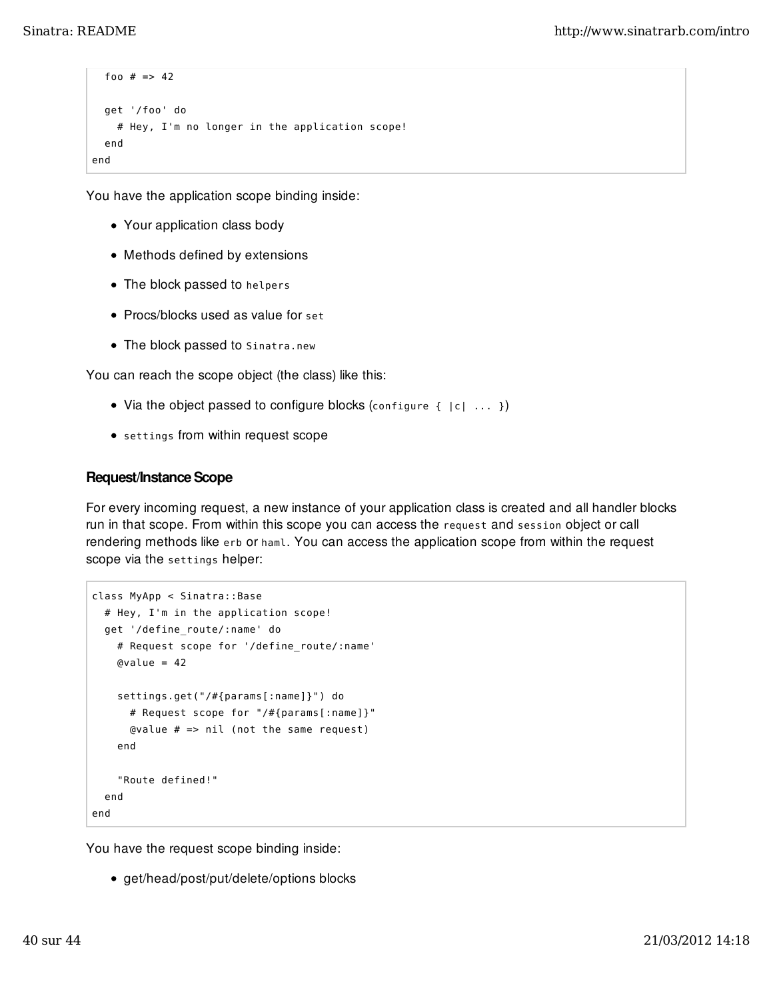```
foo # == 42 get '/foo' do
     # Hey, I'm no longer in the application scope!
   end
end
```
You have the application scope binding inside:

- Your application class body
- Methods defined by extensions
- The block passed to helpers
- Procs/blocks used as value for set
- The block passed to Sinatra.new

You can reach the scope object (the class) like this:

- Via the object passed to configure blocks (configure  $\{ |c| \ldots \}$ )
- settings from within request scope

## Request/Instance Scope

For every incoming request, a new instance of your application class is created and all handler blocks run in that scope. From within this scope you can access the request and session object or call rendering methods like erb or haml. You can access the application scope from within the request scope via the settings helper:

```
class MyApp < Sinatra::Base
   # Hey, I'm in the application scope!
   get '/define_route/:name' do
     # Request scope for '/define_route/:name'
    Qvalue = 42 settings.get("/#{params[:name]}") do
       # Request scope for "/#{params[:name]}"
       @value # => nil (not the same request)
     end
     "Route defined!"
   end
end
```
You have the request scope binding inside:

get/head/post/put/delete/options blocks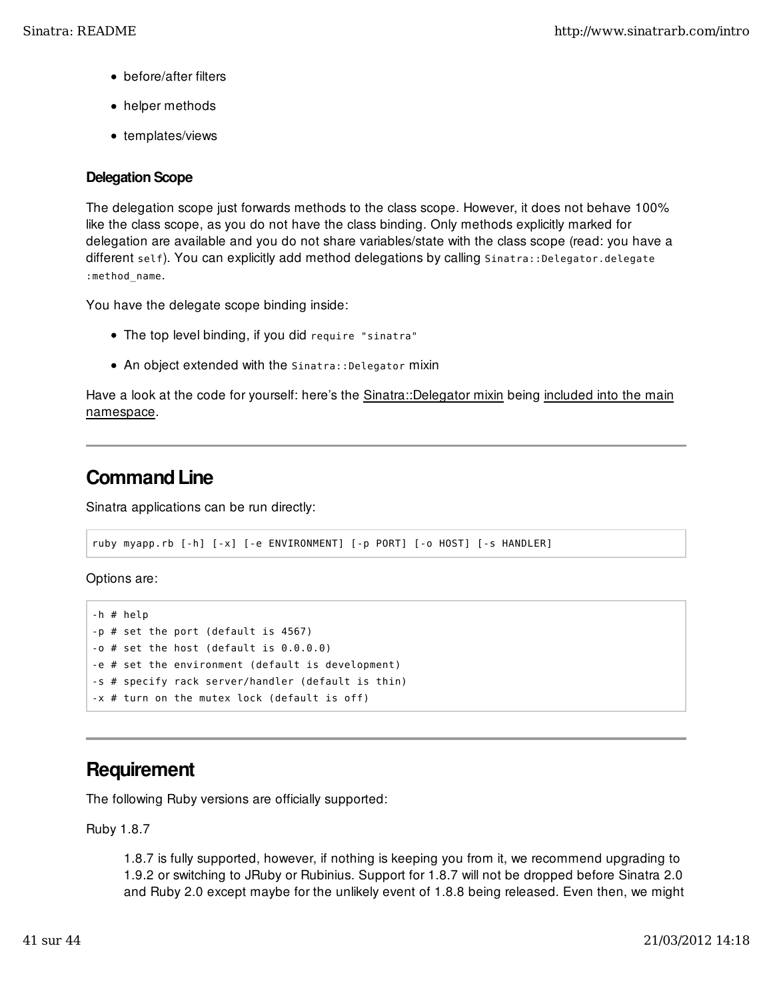- before/after filters
- helper methods
- templates/views

## Delegation Scope

The delegation scope just forwards methods to the class scope. However, it does not behave 100% like the class scope, as you do not have the class binding. Only methods explicitly marked for delegation are available and you do not share variables/state with the class scope (read: you have a different self). You can explicitly add method delegations by calling Sinatra::Delegator.delegate :method\_name.

You have the delegate scope binding inside:

- The top level binding, if you did require "sinatra"
- An object extended with the Sinatra:: Delegator mixin

Have a look at the code for yourself: here's the Sinatra::Delegator mixin being included into the main namespace.

## Command Line

Sinatra applications can be run directly:

```
ruby myapp.rb [-h] [-x] [-e ENVIRONMENT] [-p PORT] [-o HOST] [-s HANDLER]
```
Options are:

```
-h # help
-p # set the port (default is 4567)
-o # set the host (default is 0.0.0.0)
-e # set the environment (default is development)
-s # specify rack server/handler (default is thin)
-x # turn on the mutex lock (default is off)
```
## **Requirement**

The following Ruby versions are officially supported:

Ruby 1.8.7

1.8.7 is fully supported, however, if nothing is keeping you from it, we recommend upgrading to 1.9.2 or switching to JRuby or Rubinius. Support for 1.8.7 will not be dropped before Sinatra 2.0 and Ruby 2.0 except maybe for the unlikely event of 1.8.8 being released. Even then, we might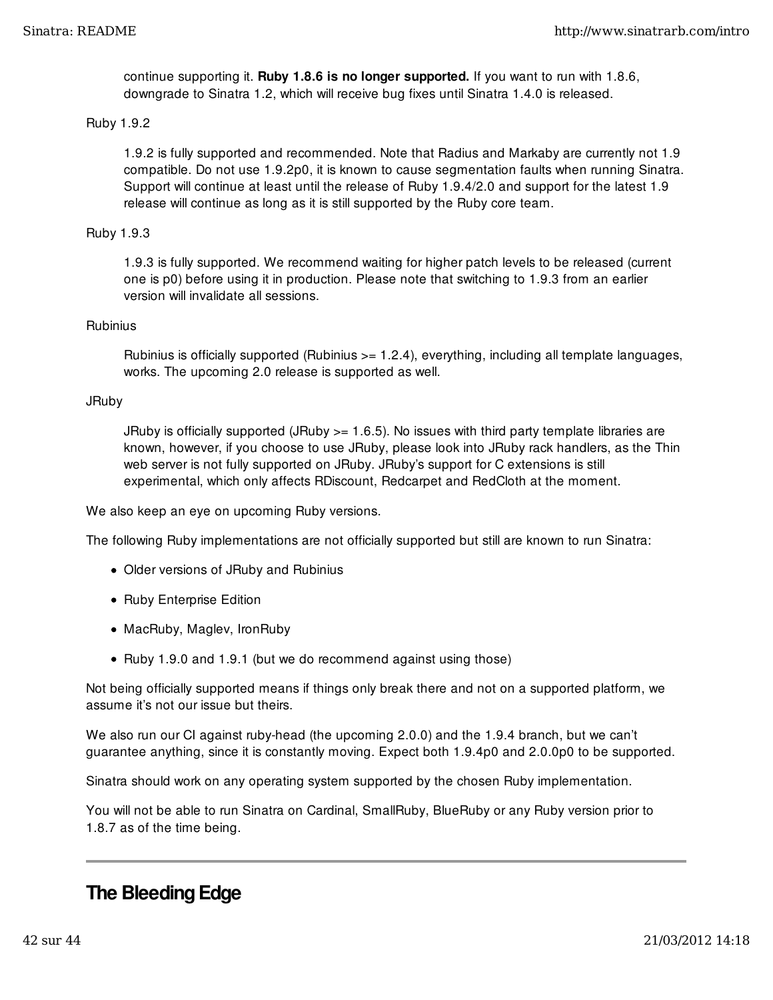continue supporting it. Ruby 1.8.6 is no longer supported. If you want to run with 1.8.6, downgrade to Sinatra 1.2, which will receive bug fixes until Sinatra 1.4.0 is released.

#### Ruby 1.9.2

1.9.2 is fully supported and recommended. Note that Radius and Markaby are currently not 1.9 compatible. Do not use 1.9.2p0, it is known to cause segmentation faults when running Sinatra. Support will continue at least until the release of Ruby 1.9.4/2.0 and support for the latest 1.9 release will continue as long as it is still supported by the Ruby core team.

#### Ruby 1.9.3

1.9.3 is fully supported. We recommend waiting for higher patch levels to be released (current one is p0) before using it in production. Please note that switching to 1.9.3 from an earlier version will invalidate all sessions.

#### **Rubinius**

Rubinius is officially supported (Rubinius >= 1.2.4), everything, including all template languages, works. The upcoming 2.0 release is supported as well.

### JRuby

JRuby is officially supported (JRuby >= 1.6.5). No issues with third party template libraries are known, however, if you choose to use JRuby, please look into JRuby rack handlers, as the Thin web server is not fully supported on JRuby. JRuby's support for C extensions is still experimental, which only affects RDiscount, Redcarpet and RedCloth at the moment.

We also keep an eye on upcoming Ruby versions.

The following Ruby implementations are not officially supported but still are known to run Sinatra:

- Older versions of JRuby and Rubinius
- Ruby Enterprise Edition
- MacRuby, Maglev, IronRuby
- Ruby 1.9.0 and 1.9.1 (but we do recommend against using those)

Not being officially supported means if things only break there and not on a supported platform, we assume it's not our issue but theirs.

We also run our CI against ruby-head (the upcoming 2.0.0) and the 1.9.4 branch, but we can't guarantee anything, since it is constantly moving. Expect both 1.9.4p0 and 2.0.0p0 to be supported.

Sinatra should work on any operating system supported by the chosen Ruby implementation.

You will not be able to run Sinatra on Cardinal, SmallRuby, BlueRuby or any Ruby version prior to 1.8.7 as of the time being.

## The Bleeding Edge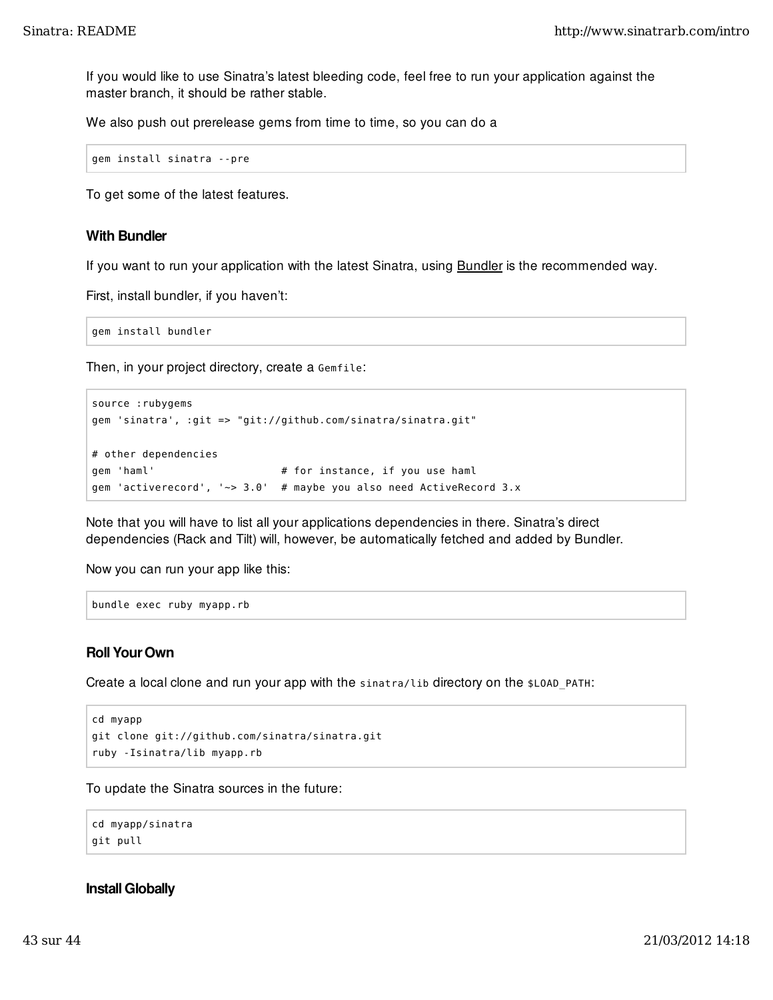If you would like to use Sinatra's latest bleeding code, feel free to run your application against the master branch, it should be rather stable.

We also push out prerelease gems from time to time, so you can do a

```
gem install sinatra --pre
```
To get some of the latest features.

#### With Bundler

If you want to run your application with the latest Sinatra, using **Bundler** is the recommended way.

First, install bundler, if you haven't:

gem install bundler

Then, in your project directory, create a Gemfile:

```
source :rubygems
gem 'sinatra', :git => "git://github.com/sinatra/sinatra.git"
# other dependencies
gem 'haml' \qquad \qquad \qquad # for instance, if you use haml
gem 'activerecord', '~> 3.0' # maybe you also need ActiveRecord 3.x
```
Note that you will have to list all your applications dependencies in there. Sinatra's direct dependencies (Rack and Tilt) will, however, be automatically fetched and added by Bundler.

Now you can run your app like this:

```
bundle exec ruby myapp.rb
```
### Roll Your Own

Create a local clone and run your app with the sinatra/lib directory on the \$LOAD\_PATH:

```
cd myapp
git clone git://github.com/sinatra/sinatra.git
ruby -Isinatra/lib myapp.rb
```
To update the Sinatra sources in the future:

```
cd myapp/sinatra
git pull
```
#### Install Globally